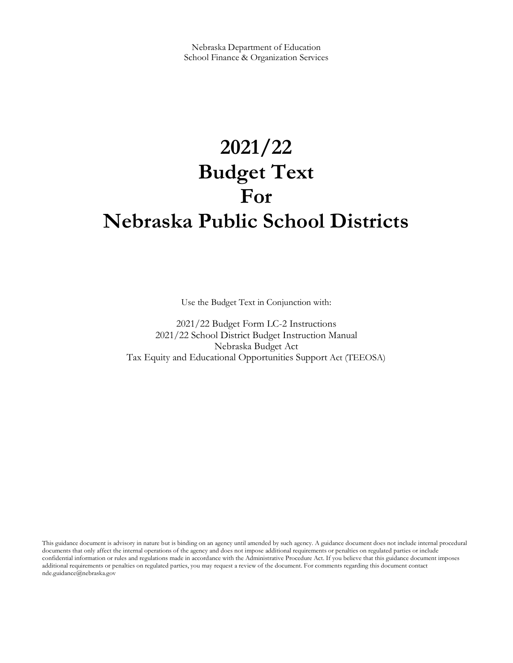# **2021/22 Budget Text For Nebraska Public School Districts**

Use the Budget Text in Conjunction with:

2021/22 Budget Form LC-2 Instructions 2021/22 School District Budget Instruction Manual Nebraska Budget Act Tax Equity and Educational Opportunities Support Act (TEEOSA)

This guidance document is advisory in nature but is binding on an agency until amended by such agency. A guidance document does not include internal procedural documents that only affect the internal operations of the agency and does not impose additional requirements or penalties on regulated parties or include confidential information or rules and regulations made in accordance with the Administrative Procedure Act. If you believe that this guidance document imposes additional requirements or penalties on regulated parties, you may request a review of the document. For comments regarding this document contact nde.guidance@nebraska.gov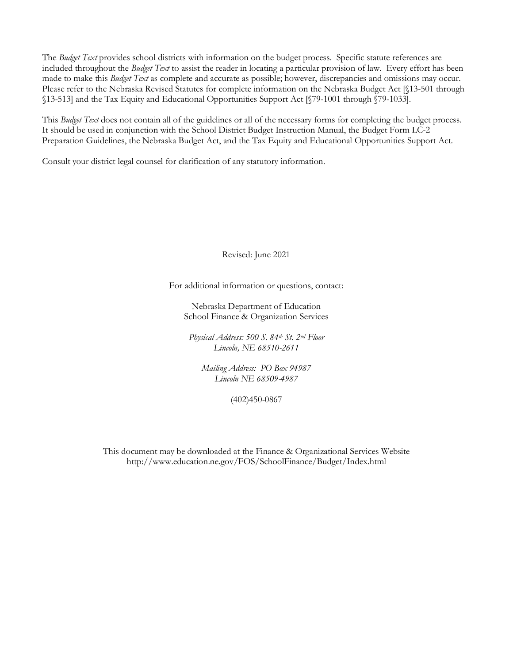The *Budget Text* provides school districts with information on the budget process. Specific statute references are included throughout the *Budget Text* to assist the reader in locating a particular provision of law. Every effort has been made to make this *Budget Text* as complete and accurate as possible; however, discrepancies and omissions may occur. Please refer to the Nebraska Revised Statutes for complete information on the Nebraska Budget Act [§13-501 through §13-513] and the Tax Equity and Educational Opportunities Support Act [§79-1001 through §79-1033].

This *Budget Text* does not contain all of the guidelines or all of the necessary forms for completing the budget process. It should be used in conjunction with the School District Budget Instruction Manual, the Budget Form LC-2 Preparation Guidelines, the Nebraska Budget Act, and the Tax Equity and Educational Opportunities Support Act.

Consult your district legal counsel for clarification of any statutory information.

Revised: June 2021

For additional information or questions, contact:

Nebraska Department of Education School Finance & Organization Services

*Physical Address: 500 S. 84th St. 2nd Floor Lincoln, NE 68510-2611*

*Mailing Address: PO Box 94987 Lincoln NE 68509-4987*

(402)450-0867

This document may be downloaded at the Finance & Organizational Services Website http://www.education.ne.gov/FOS/SchoolFinance/Budget/Index.html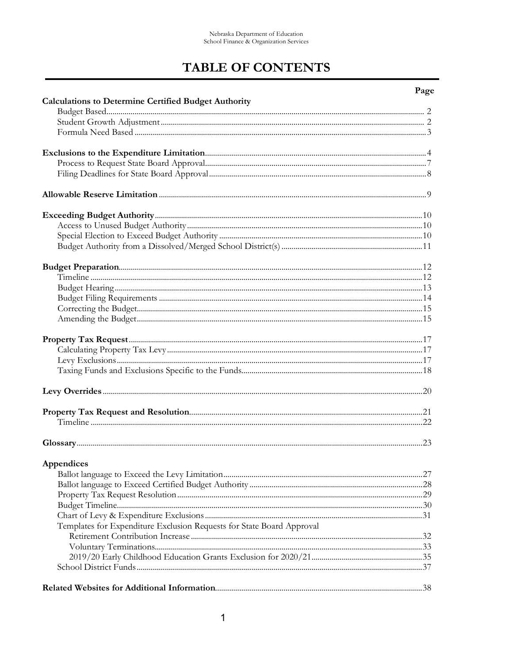## **TABLE OF CONTENTS**

### Page

| <b>Calculations to Determine Certified Budget Authority</b>           |  |
|-----------------------------------------------------------------------|--|
|                                                                       |  |
|                                                                       |  |
|                                                                       |  |
|                                                                       |  |
|                                                                       |  |
|                                                                       |  |
|                                                                       |  |
|                                                                       |  |
|                                                                       |  |
|                                                                       |  |
|                                                                       |  |
|                                                                       |  |
|                                                                       |  |
|                                                                       |  |
|                                                                       |  |
|                                                                       |  |
|                                                                       |  |
|                                                                       |  |
|                                                                       |  |
|                                                                       |  |
|                                                                       |  |
|                                                                       |  |
|                                                                       |  |
|                                                                       |  |
|                                                                       |  |
| Appendices                                                            |  |
|                                                                       |  |
|                                                                       |  |
|                                                                       |  |
|                                                                       |  |
|                                                                       |  |
| Templates for Expenditure Exclusion Requests for State Board Approval |  |
|                                                                       |  |
|                                                                       |  |
|                                                                       |  |
|                                                                       |  |
|                                                                       |  |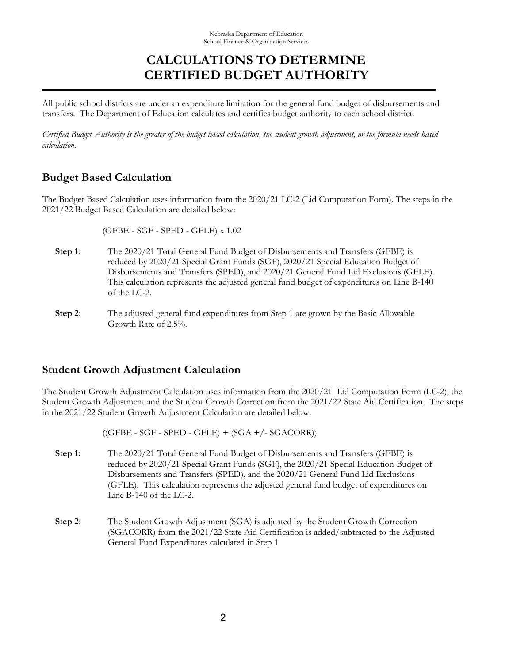### **CALCULATIONS TO DETERMINE CERTIFIED BUDGET AUTHORITY**

All public school districts are under an expenditure limitation for the general fund budget of disbursements and transfers. The Department of Education calculates and certifies budget authority to each school district.

*Certified Budget Authority is the greater of the budget based calculation, the student growth adjustment, or the formula needs based calculation.* 

### **Budget Based Calculation**

The Budget Based Calculation uses information from the 2020/21 LC-2 (Lid Computation Form). The steps in the 2021/22 Budget Based Calculation are detailed below:

(GFBE - SGF - SPED - GFLE) x 1.02

- **Step 1**: The 2020/21 Total General Fund Budget of Disbursements and Transfers (GFBE) is reduced by 2020/21 Special Grant Funds (SGF), 2020/21 Special Education Budget of Disbursements and Transfers (SPED), and 2020/21 General Fund Lid Exclusions (GFLE). This calculation represents the adjusted general fund budget of expenditures on Line B-140 of the LC-2.
- **Step 2**: The adjusted general fund expenditures from Step 1 are grown by the Basic Allowable Growth Rate of 2.5%.

### **Student Growth Adjustment Calculation**

The Student Growth Adjustment Calculation uses information from the 2020/21 Lid Computation Form (LC-2), the Student Growth Adjustment and the Student Growth Correction from the 2021/22 State Aid Certification. The steps in the 2021/22 Student Growth Adjustment Calculation are detailed below:

 $((GFBE - SGF - SPED - GFLE) + (SGA + / - SGACORR))$ 

- **Step 1:** The 2020/21 Total General Fund Budget of Disbursements and Transfers (GFBE) is reduced by 2020/21 Special Grant Funds (SGF), the 2020/21 Special Education Budget of Disbursements and Transfers (SPED), and the 2020/21 General Fund Lid Exclusions (GFLE). This calculation represents the adjusted general fund budget of expenditures on Line B-140 of the LC-2.
- **Step 2:** The Student Growth Adjustment (SGA) is adjusted by the Student Growth Correction (SGACORR) from the 2021/22 State Aid Certification is added/subtracted to the Adjusted General Fund Expenditures calculated in Step 1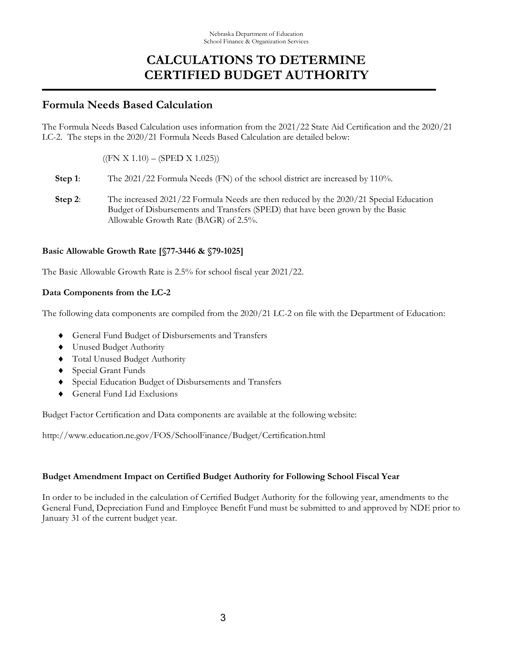### **CALCULATIONS TO DETERMINE CERTIFIED BUDGET AUTHORITY**

### **Formula Needs Based Calculation**

The Formula Needs Based Calculation uses information from the 2021/22 State Aid Certification and the 2020/21 LC-2. The steps in the 2020/21 Formula Needs Based Calculation are detailed below:

 $((FN X 1.10) - (SPED X 1.025))$ 

- **Step 1:** The 2021/22 Formula Needs (FN) of the school district are increased by 110%.
- **Step 2**: The increased 2021/22 Formula Needs are then reduced by the 2020/21 Special Education Budget of Disbursements and Transfers (SPED) that have been grown by the Basic Allowable Growth Rate (BAGR) of 2.5%.

#### **Basic Allowable Growth Rate [§77-3446 & §79-1025]**

The Basic Allowable Growth Rate is 2.5% for school fiscal year 2021/22.

### **Data Components from the LC-2**

The following data components are compiled from the 2020/21 LC-2 on file with the Department of Education:

- General Fund Budget of Disbursements and Transfers
- Unused Budget Authority
- Total Unused Budget Authority
- Special Grant Funds
- Special Education Budget of Disbursements and Transfers
- ♦ General Fund Lid Exclusions

Budget Factor Certification and Data components are available at the following website:

http://www.education.ne.gov/FOS/SchoolFinance/Budget/Certification.html

#### **Budget Amendment Impact on Certified Budget Authority for Following School Fiscal Year**

In order to be included in the calculation of Certified Budget Authority for the following year, amendments to the General Fund, Depreciation Fund and Employee Benefit Fund must be submitted to and approved by NDE prior to January 31 of the current budget year.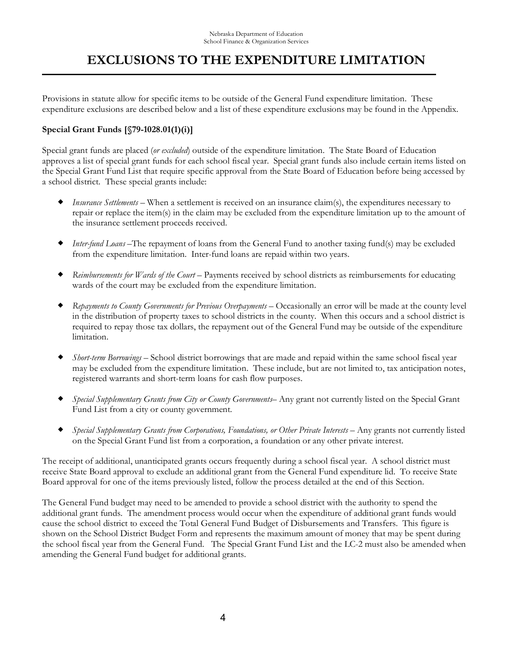Provisions in statute allow for specific items to be outside of the General Fund expenditure limitation. These expenditure exclusions are described below and a list of these expenditure exclusions may be found in the Appendix.

### **Special Grant Funds [§79-1028.01(1)(i)]**

Special grant funds are placed (*or excluded*) outside of the expenditure limitation. The State Board of Education approves a list of special grant funds for each school fiscal year. Special grant funds also include certain items listed on the Special Grant Fund List that require specific approval from the State Board of Education before being accessed by a school district. These special grants include:

- *Insurance Settlements* When a settlement is received on an insurance claim(s), the expenditures necessary to repair or replace the item(s) in the claim may be excluded from the expenditure limitation up to the amount of the insurance settlement proceeds received.
- *Inter-fund Loans* –The repayment of loans from the General Fund to another taxing fund(s) may be excluded from the expenditure limitation. Inter-fund loans are repaid within two years.
- *Reimbursements for Wards of the Court* Payments received by school districts as reimbursements for educating wards of the court may be excluded from the expenditure limitation.
- *Repayments to County Governments for Previous Overpayments* Occasionally an error will be made at the county level in the distribution of property taxes to school districts in the county. When this occurs and a school district is required to repay those tax dollars, the repayment out of the General Fund may be outside of the expenditure limitation.
- *Short-term Borrowings* School district borrowings that are made and repaid within the same school fiscal year may be excluded from the expenditure limitation. These include, but are not limited to, tax anticipation notes, registered warrants and short-term loans for cash flow purposes.
- *Special Supplementary Grants from City or County Governments* Any grant not currently listed on the Special Grant Fund List from a city or county government.
- *Special Supplementary Grants from Corporations, Foundations, or Other Private Interests Any grants not currently listed* on the Special Grant Fund list from a corporation, a foundation or any other private interest.

The receipt of additional, unanticipated grants occurs frequently during a school fiscal year. A school district must receive State Board approval to exclude an additional grant from the General Fund expenditure lid. To receive State Board approval for one of the items previously listed, follow the process detailed at the end of this Section.

The General Fund budget may need to be amended to provide a school district with the authority to spend the additional grant funds. The amendment process would occur when the expenditure of additional grant funds would cause the school district to exceed the Total General Fund Budget of Disbursements and Transfers. This figure is shown on the School District Budget Form and represents the maximum amount of money that may be spent during the school fiscal year from the General Fund. The Special Grant Fund List and the LC-2 must also be amended when amending the General Fund budget for additional grants.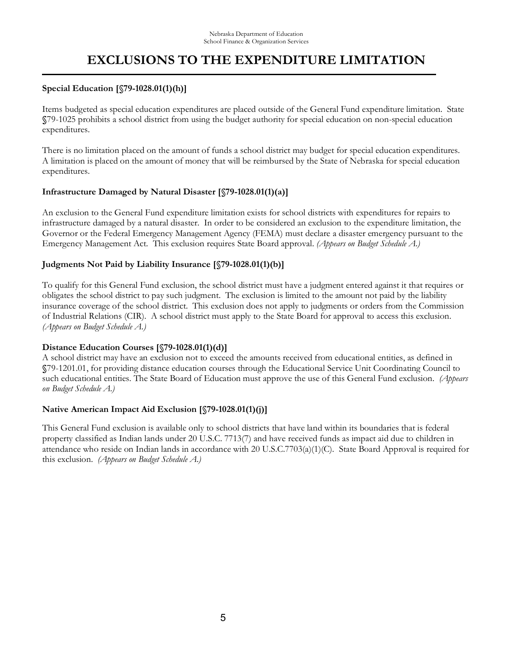#### **Special Education [§79-1028.01(1)(h)]**

Items budgeted as special education expenditures are placed outside of the General Fund expenditure limitation. State **§**79-1025 prohibits a school district from using the budget authority for special education on non-special education expenditures.

There is no limitation placed on the amount of funds a school district may budget for special education expenditures. A limitation is placed on the amount of money that will be reimbursed by the State of Nebraska for special education expenditures.

#### **Infrastructure Damaged by Natural Disaster [§79-1028.01(1)(a)]**

An exclusion to the General Fund expenditure limitation exists for school districts with expenditures for repairs to infrastructure damaged by a natural disaster. In order to be considered an exclusion to the expenditure limitation, the Governor or the Federal Emergency Management Agency (FEMA) must declare a disaster emergency pursuant to the Emergency Management Act. This exclusion requires State Board approval. *(Appears on Budget Schedule A.)*

#### **Judgments Not Paid by Liability Insurance [§79-1028.01(1)(b)]**

To qualify for this General Fund exclusion, the school district must have a judgment entered against it that requires or obligates the school district to pay such judgment. The exclusion is limited to the amount not paid by the liability insurance coverage of the school district. This exclusion does not apply to judgments or orders from the Commission of Industrial Relations (CIR). A school district must apply to the State Board for approval to access this exclusion. *(Appears on Budget Schedule A.)*

### **Distance Education Courses [§79-1028.01(1)(d)]**

A school district may have an exclusion not to exceed the amounts received from educational entities, as defined in **§**79-1201.01, for providing distance education courses through the Educational Service Unit Coordinating Council to such educational entities. The State Board of Education must approve the use of this General Fund exclusion. *(Appears on Budget Schedule A.)*

#### **Native American Impact Aid Exclusion [§79-1028.01(1)(j)]**

This General Fund exclusion is available only to school districts that have land within its boundaries that is federal property classified as Indian lands under 20 U.S.C. 7713(7) and have received funds as impact aid due to children in attendance who reside on Indian lands in accordance with 20 U.S.C.7703(a)(1)(C). State Board Approval is required for this exclusion. *(Appears on Budget Schedule A.)*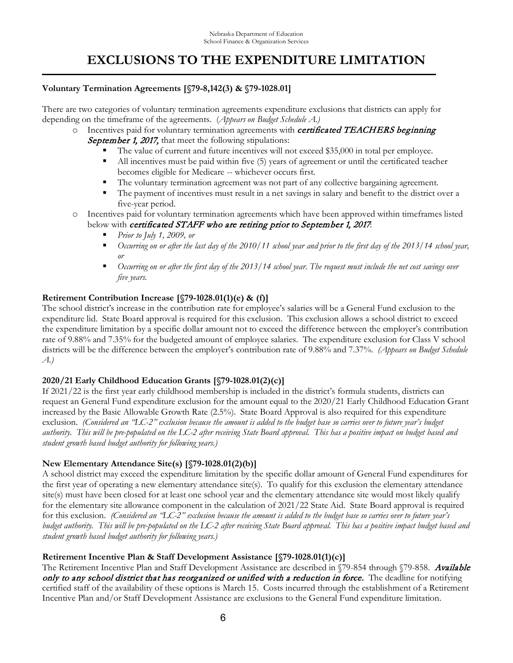#### **Voluntary Termination Agreements [§79-8,142(3) & §79-1028.01]**

There are two categories of voluntary termination agreements expenditure exclusions that districts can apply for depending on the timeframe of the agreements. (*Appears on Budget Schedule A.)*

- $\circ$  Incentives paid for voluntary termination agreements with *certificated TEACHERS beginning* September 1, 2017, that meet the following stipulations:
	- The value of current and future incentives will not exceed \$35,000 in total per employee.
	- All incentives must be paid within five (5) years of agreement or until the certificated teacher becomes eligible for Medicare -- whichever occurs first.
	- The voluntary termination agreement was not part of any collective bargaining agreement.
	- The payment of incentives must result in a net savings in salary and benefit to the district over a five-year period.
- Incentives paid for voluntary termination agreements which have been approved within timeframes listed below with certificated STAFF who are retiring prior to September 1, 2017.
	- *Prior to July 1, 2009, or*
	- *Occurring on or after the last day of the 2010/11 school year and prior to the first day of the 2013/14 school year, or*
	- *Occurring on or after the first day of the 2013/14 school year. The request must include the net cost savings over five years.*

#### **Retirement Contribution Increase [§79-1028.01(1)(e) & (f)]**

The school district's increase in the contribution rate for employee's salaries will be a General Fund exclusion to the expenditure lid. State Board approval is required for this exclusion. This exclusion allows a school district to exceed the expenditure limitation by a specific dollar amount not to exceed the difference between the employer's contribution rate of 9.88% and 7.35% for the budgeted amount of employee salaries. The expenditure exclusion for Class V school districts will be the difference between the employer's contribution rate of 9.88% and 7.37%*. (Appears on Budget Schedule A.)*

### **2020/21 Early Childhood Education Grants [§79-1028.01(2)(c)]**

If 2021/22 is the first year early childhood membership is included in the district's formula students, districts can request an General Fund expenditure exclusion for the amount equal to the 2020/21 Early Childhood Education Grant increased by the Basic Allowable Growth Rate (2.5%). State Board Approval is also required for this expenditure exclusion. *(Considered an "LC-2" exclusion because the amount is added to the budget base so carries over to future year's budget authority. This will be pre-populated on the LC-2 after receiving State Board approval. This has a positive impact on budget based and student growth based budget authority for following years.)*

### **New Elementary Attendance Site(s) [§79-1028.01(2)(b)]**

A school district may exceed the expenditure limitation by the specific dollar amount of General Fund expenditures for the first year of operating a new elementary attendance site(s). To qualify for this exclusion the elementary attendance site(s) must have been closed for at least one school year and the elementary attendance site would most likely qualify for the elementary site allowance component in the calculation of 2021/22 State Aid. State Board approval is required for this exclusion. *(Considered an "LC-2" exclusion because the amount is added to the budget base so carries over to future year's budget authority. This will be pre-populated on the LC-2 after receiving State Board approval. This has a positive impact budget based and student growth based budget authority for following years.)*

### **Retirement Incentive Plan & Staff Development Assistance [§79-1028.01(1)(c)]**

The Retirement Incentive Plan and Staff Development Assistance are described in §79-854 through §79-858. Available only to any school district that has reorganized or unified with a reduction in force. The deadline for notifying certified staff of the availability of these options is March 15. Costs incurred through the establishment of a Retirement Incentive Plan and/or Staff Development Assistance are exclusions to the General Fund expenditure limitation.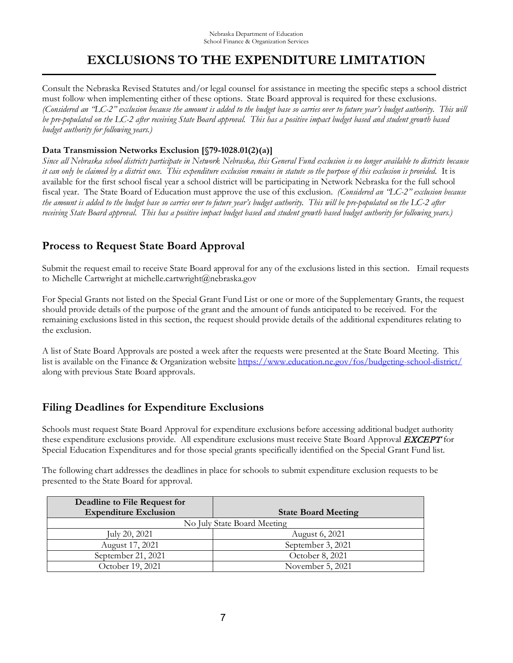Consult the Nebraska Revised Statutes and/or legal counsel for assistance in meeting the specific steps a school district must follow when implementing either of these options. State Board approval is required for these exclusions. *(Considered an "LC-2" exclusion because the amount is added to the budget base so carries over to future year's budget authority. This will be pre-populated on the LC-2 after receiving State Board approval. This has a positive impact budget based and student growth based budget authority for following years.)*

### **Data Transmission Networks Exclusion [§79-1028.01(2)(a)]**

*Since all Nebraska school districts participate in Network Nebraska, this General Fund exclusion is no longer available to districts because it can only be claimed by a district once. This expenditure exclusion remains in statute so the purpose of this exclusion is provided.* It is available for the first school fiscal year a school district will be participating in Network Nebraska for the full school fiscal year. The State Board of Education must approve the use of this exclusion. *(Considered an "LC-2" exclusion because the amount is added to the budget base so carries over to future year's budget authority. This will be pre-populated on the LC-2 after*  receiving State Board approval. This has a positive impact budget based and student growth based budget authority for following years.)

### **Process to Request State Board Approval**

Submit the request email to receive State Board approval for any of the exclusions listed in this section. Email requests to Michelle Cartwright at michelle.cartwright@nebraska.gov

For Special Grants not listed on the Special Grant Fund List or one or more of the Supplementary Grants, the request should provide details of the purpose of the grant and the amount of funds anticipated to be received. For the remaining exclusions listed in this section, the request should provide details of the additional expenditures relating to the exclusion.

A list of State Board Approvals are posted a week after the requests were presented at the State Board Meeting. This list is available on the Finance & Organization website https://www.education.ne.gov/fos/budgeting-school-district/ along with previous State Board approvals.

### **Filing Deadlines for Expenditure Exclusions**

Schools must request State Board Approval for expenditure exclusions before accessing additional budget authority these expenditure exclusions provide. All expenditure exclusions must receive State Board Approval **EXCEPT** for Special Education Expenditures and for those special grants specifically identified on the Special Grant Fund list.

The following chart addresses the deadlines in place for schools to submit expenditure exclusion requests to be presented to the State Board for approval.

| Deadline to File Request for |                             |
|------------------------------|-----------------------------|
| <b>Expenditure Exclusion</b> | <b>State Board Meeting</b>  |
|                              | No July State Board Meeting |
| July 20, 2021                | August 6, 2021              |
| August 17, 2021              | September 3, 2021           |
| September 21, 2021           | October 8, 2021             |
| October 19, 2021             | November 5, 2021            |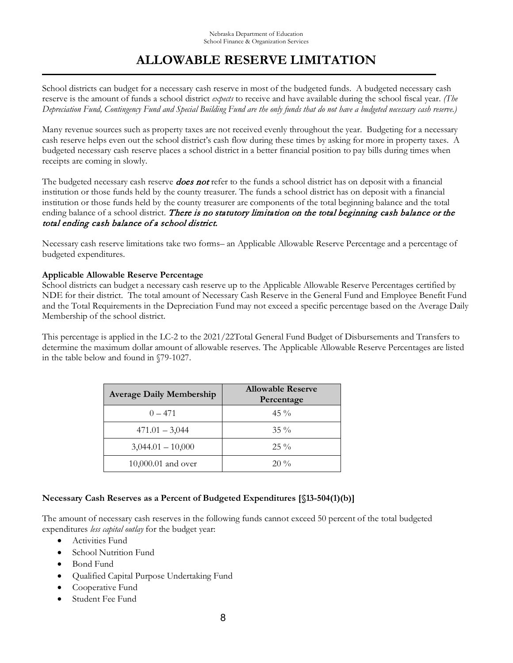## **ALLOWABLE RESERVE LIMITATION**

School districts can budget for a necessary cash reserve in most of the budgeted funds. A budgeted necessary cash reserve is the amount of funds a school district *expects* to receive and have available during the school fiscal year. *(The Depreciation Fund, Contingency Fund and Special Building Fund are the only funds that do not have a budgeted necessary cash reserve.)*

Many revenue sources such as property taxes are not received evenly throughout the year. Budgeting for a necessary cash reserve helps even out the school district's cash flow during these times by asking for more in property taxes. A budgeted necessary cash reserve places a school district in a better financial position to pay bills during times when receipts are coming in slowly.

The budgeted necessary cash reserve **does not** refer to the funds a school district has on deposit with a financial institution or those funds held by the county treasurer. The funds a school district has on deposit with a financial institution or those funds held by the county treasurer are components of the total beginning balance and the total ending balance of a school district. There is no statutory limitation on the total beginning cash balance or the total ending cash balance of a school district.

Necessary cash reserve limitations take two forms– an Applicable Allowable Reserve Percentage and a percentage of budgeted expenditures.

#### **Applicable Allowable Reserve Percentage**

School districts can budget a necessary cash reserve up to the Applicable Allowable Reserve Percentages certified by NDE for their district. The total amount of Necessary Cash Reserve in the General Fund and Employee Benefit Fund and the Total Requirements in the Depreciation Fund may not exceed a specific percentage based on the Average Daily Membership of the school district.

This percentage is applied in the LC-2 to the 2021/22Total General Fund Budget of Disbursements and Transfers to determine the maximum dollar amount of allowable reserves. The Applicable Allowable Reserve Percentages are listed in the table below and found in §79-1027.

| <b>Average Daily Membership</b> | <b>Allowable Reserve</b><br>Percentage |
|---------------------------------|----------------------------------------|
| $0 - 471$                       | $45\%$                                 |
| $471.01 - 3,044$                | $35\%$                                 |
| $3,044.01 - 10,000$             | $25\%$                                 |
| 10,000.01 and over              | $20\%$                                 |

### **Necessary Cash Reserves as a Percent of Budgeted Expenditures [§13-504(1)(b)]**

The amount of necessary cash reserves in the following funds cannot exceed 50 percent of the total budgeted expenditures *less capital outlay* for the budget year:

- Activities Fund
- School Nutrition Fund
- Bond Fund
- Qualified Capital Purpose Undertaking Fund
- Cooperative Fund
- Student Fee Fund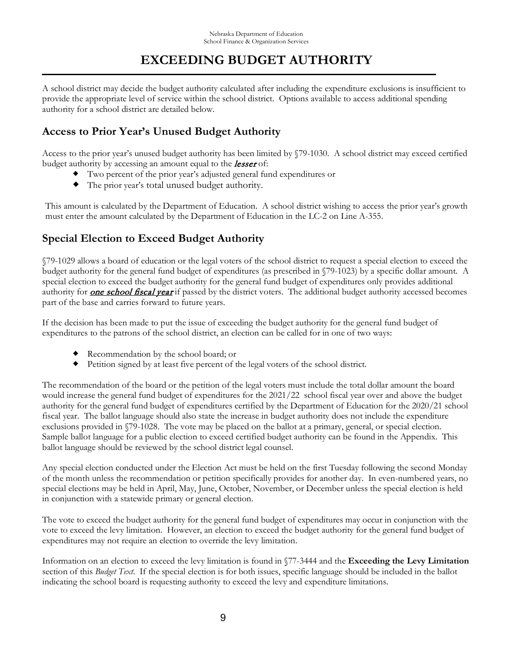## **EXCEEDING BUDGET AUTHORITY**

A school district may decide the budget authority calculated after including the expenditure exclusions is insufficient to provide the appropriate level of service within the school district. Options available to access additional spending authority for a school district are detailed below.

### **Access to Prior Year's Unused Budget Authority**

Access to the prior year's unused budget authority has been limited by §79-1030. A school district may exceed certified budget authority by accessing an amount equal to the **lesser** of:

- Two percent of the prior year's adjusted general fund expenditures or
- The prior year's total unused budget authority.

This amount is calculated by the Department of Education. A school district wishing to access the prior year's growth must enter the amount calculated by the Department of Education in the LC-2 on Line A-355.

### **Special Election to Exceed Budget Authority**

§79-1029 allows a board of education or the legal voters of the school district to request a special election to exceed the budget authority for the general fund budget of expenditures (as prescribed in §79-1023) by a specific dollar amount. A special election to exceed the budget authority for the general fund budget of expenditures only provides additional authority for **one school fiscal year** if passed by the district voters. The additional budget authority accessed becomes part of the base and carries forward to future years.

If the decision has been made to put the issue of exceeding the budget authority for the general fund budget of expenditures to the patrons of the school district, an election can be called for in one of two ways:

- Recommendation by the school board; or
- Petition signed by at least five percent of the legal voters of the school district.

The recommendation of the board or the petition of the legal voters must include the total dollar amount the board would increase the general fund budget of expenditures for the 2021/22 school fiscal year over and above the budget authority for the general fund budget of expenditures certified by the Department of Education for the 2020/21 school fiscal year. The ballot language should also state the increase in budget authority does not include the expenditure exclusions provided in §79-1028. The vote may be placed on the ballot at a primary, general, or special election. Sample ballot language for a public election to exceed certified budget authority can be found in the Appendix. This ballot language should be reviewed by the school district legal counsel.

Any special election conducted under the Election Act must be held on the first Tuesday following the second Monday of the month unless the recommendation or petition specifically provides for another day. In even-numbered years, no special elections may be held in April, May, June, October, November, or December unless the special election is held in conjunction with a statewide primary or general election.

The vote to exceed the budget authority for the general fund budget of expenditures may occur in conjunction with the vote to exceed the levy limitation. However, an election to exceed the budget authority for the general fund budget of expenditures may not require an election to override the levy limitation.

Information on an election to exceed the levy limitation is found in §77-3444 and the **Exceeding the Levy Limitation** section of this *Budget Text*. If the special election is for both issues, specific language should be included in the ballot indicating the school board is requesting authority to exceed the levy and expenditure limitations.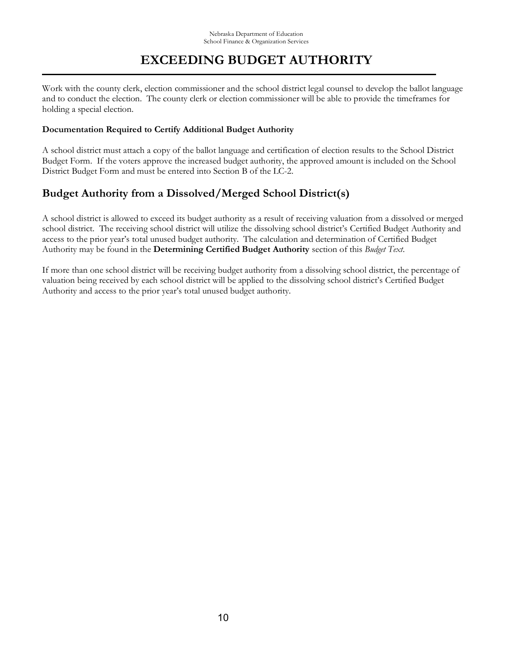## **EXCEEDING BUDGET AUTHORITY**

Work with the county clerk, election commissioner and the school district legal counsel to develop the ballot language and to conduct the election. The county clerk or election commissioner will be able to provide the timeframes for holding a special election.

#### **Documentation Required to Certify Additional Budget Authority**

A school district must attach a copy of the ballot language and certification of election results to the School District Budget Form. If the voters approve the increased budget authority, the approved amount is included on the School District Budget Form and must be entered into Section B of the LC-2.

### **Budget Authority from a Dissolved/Merged School District(s)**

A school district is allowed to exceed its budget authority as a result of receiving valuation from a dissolved or merged school district. The receiving school district will utilize the dissolving school district's Certified Budget Authority and access to the prior year's total unused budget authority. The calculation and determination of Certified Budget Authority may be found in the **Determining Certified Budget Authority** section of this *Budget Text*.

If more than one school district will be receiving budget authority from a dissolving school district, the percentage of valuation being received by each school district will be applied to the dissolving school district's Certified Budget Authority and access to the prior year's total unused budget authority.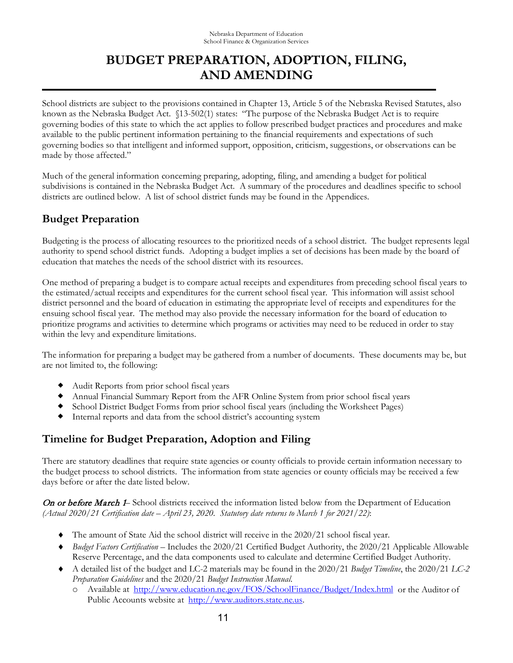School districts are subject to the provisions contained in Chapter 13, Article 5 of the Nebraska Revised Statutes, also known as the Nebraska Budget Act. §13-502(1) states: "The purpose of the Nebraska Budget Act is to require governing bodies of this state to which the act applies to follow prescribed budget practices and procedures and make available to the public pertinent information pertaining to the financial requirements and expectations of such governing bodies so that intelligent and informed support, opposition, criticism, suggestions, or observations can be made by those affected."

Much of the general information concerning preparing, adopting, filing, and amending a budget for political subdivisions is contained in the Nebraska Budget Act. A summary of the procedures and deadlines specific to school districts are outlined below. A list of school district funds may be found in the Appendices.

### **Budget Preparation**

Budgeting is the process of allocating resources to the prioritized needs of a school district. The budget represents legal authority to spend school district funds. Adopting a budget implies a set of decisions has been made by the board of education that matches the needs of the school district with its resources.

One method of preparing a budget is to compare actual receipts and expenditures from preceding school fiscal years to the estimated/actual receipts and expenditures for the current school fiscal year. This information will assist school district personnel and the board of education in estimating the appropriate level of receipts and expenditures for the ensuing school fiscal year. The method may also provide the necessary information for the board of education to prioritize programs and activities to determine which programs or activities may need to be reduced in order to stay within the levy and expenditure limitations.

The information for preparing a budget may be gathered from a number of documents. These documents may be, but are not limited to, the following:

- Audit Reports from prior school fiscal years
- Annual Financial Summary Report from the AFR Online System from prior school fiscal years
- School District Budget Forms from prior school fiscal years (including the Worksheet Pages)
- Internal reports and data from the school district's accounting system

### **Timeline for Budget Preparation, Adoption and Filing**

There are statutory deadlines that require state agencies or county officials to provide certain information necessary to the budget process to school districts. The information from state agencies or county officials may be received a few days before or after the date listed below.

On or before March 1– School districts received the information listed below from the Department of Education *(Actual 2020/21 Certification date – April 23, 2020. Statutory date returns to March 1 for 2021/22)*:

- ♦ The amount of State Aid the school district will receive in the 2020/21 school fiscal year.
- ♦ *Budget Factors Certification*  Includes the 2020/21 Certified Budget Authority, the 2020/21 Applicable Allowable Reserve Percentage, and the data components used to calculate and determine Certified Budget Authority.
- ♦ A detailed list of the budget and LC-2 materials may be found in the 2020/21 *Budget Timeline*, the 2020/21 *LC-2 Preparation Guidelines* and the 2020/21 *Budget Instruction Manual*.
	- o Available at<http://www.education.ne.gov/FOS/SchoolFinance/Budget/Index.html> or the Auditor of Public Accounts website at [http://www.auditors.state.ne.us.](http://www.auditors.state.ne.us/)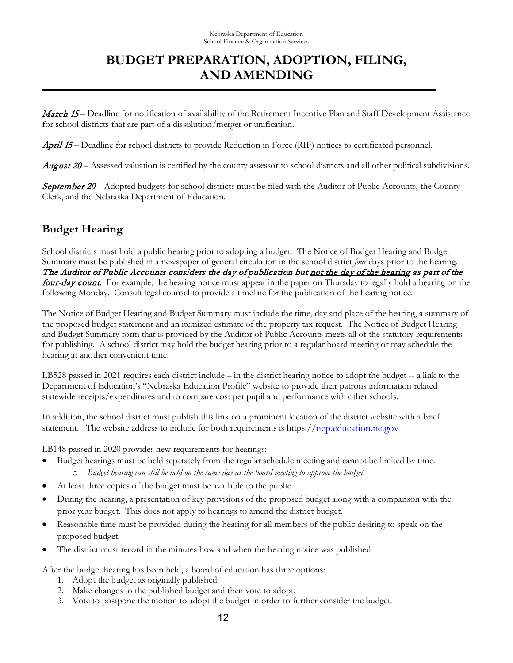**March 15** – Deadline for notification of availability of the Retirement Incentive Plan and Staff Development Assistance for school districts that are part of a dissolution/merger or unification.

April 15 – Deadline for school districts to provide Reduction in Force (RIF) notices to certificated personnel.

August 20 – Assessed valuation is certified by the county assessor to school districts and all other political subdivisions.

September 20 – Adopted budgets for school districts must be filed with the Auditor of Public Accounts, the County Clerk, and the Nebraska Department of Education.

### **Budget Hearing**

School districts must hold a public hearing prior to adopting a budget. The Notice of Budget Hearing and Budget Summary must be published in a newspaper of general circulation in the school district *four* days prior to the hearing. The Auditor of Public Accounts considers the day of publication but not the day of the hearing as part of the four-day count. For example, the hearing notice must appear in the paper on Thursday to legally hold a hearing on the following Monday. Consult legal counsel to provide a timeline for the publication of the hearing notice.

The Notice of Budget Hearing and Budget Summary must include the time, day and place of the hearing, a summary of the proposed budget statement and an itemized estimate of the property tax request. The Notice of Budget Hearing and Budget Summary form that is provided by the Auditor of Public Accounts meets all of the statutory requirements for publishing. A school district may hold the budget hearing prior to a regular board meeting or may schedule the hearing at another convenient time.

LB528 passed in 2021 requires each district include – in the district hearing notice to adopt the budget -- a link to the Department of Education's "Nebraska Education Profile" website to provide their patrons information related statewide receipts/expenditures and to compare cost per pupil and performance with other schools.

In addition, the school district must publish this link on a prominent location of the district website with a brief statement. The website address to include for both requirements is https:/[/nep.education.ne.gov](https://nep.education.ne.gov/)

LB148 passed in 2020 provides new requirements for hearings:

- Budget hearings must be held separately from the regular schedule meeting and cannot be limited by time. o *Budget hearing can still be held on the same day as the board meeting to approve the budget.*
- At least three copies of the budget must be available to the public.
- During the hearing, a presentation of key provisions of the proposed budget along with a comparison with the prior year budget. This does not apply to hearings to amend the district budget.
- Reasonable time must be provided during the hearing for all members of the public desiring to speak on the proposed budget.
- The district must record in the minutes how and when the hearing notice was published

After the budget hearing has been held, a board of education has three options:

- 1. Adopt the budget as originally published.
- 2. Make changes to the published budget and then vote to adopt.
- 3. Vote to postpone the motion to adopt the budget in order to further consider the budget.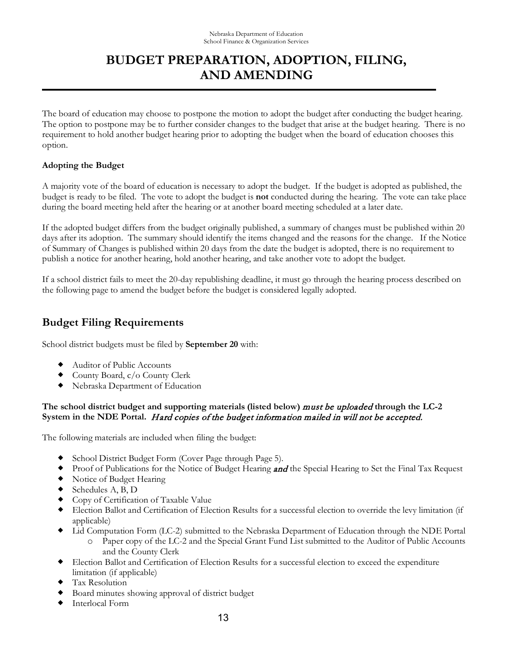The board of education may choose to postpone the motion to adopt the budget after conducting the budget hearing. The option to postpone may be to further consider changes to the budget that arise at the budget hearing. There is no requirement to hold another budget hearing prior to adopting the budget when the board of education chooses this option.

#### **Adopting the Budget**

A majority vote of the board of education is necessary to adopt the budget. If the budget is adopted as published, the budget is ready to be filed. The vote to adopt the budget is **not** conducted during the hearing. The vote can take place during the board meeting held after the hearing or at another board meeting scheduled at a later date.

If the adopted budget differs from the budget originally published, a summary of changes must be published within 20 days after its adoption. The summary should identify the items changed and the reasons for the change. If the Notice of Summary of Changes is published within 20 days from the date the budget is adopted, there is no requirement to publish a notice for another hearing, hold another hearing, and take another vote to adopt the budget.

If a school district fails to meet the 20-day republishing deadline, it must go through the hearing process described on the following page to amend the budget before the budget is considered legally adopted.

### **Budget Filing Requirements**

School district budgets must be filed by **September 20** with:

- Auditor of Public Accounts
- County Board, c/o County Clerk
- Nebraska Department of Education

#### **The school district budget and supporting materials (listed below)** must be uploaded **through the LC-2 System in the NDE Portal.** Hard copies of the budget information mailed in will not be accepted.

The following materials are included when filing the budget:

- School District Budget Form (Cover Page through Page 5).
- Proof of Publications for the Notice of Budget Hearing **and** the Special Hearing to Set the Final Tax Request
- Notice of Budget Hearing
- Schedules A, B, D
- Copy of Certification of Taxable Value
- Election Ballot and Certification of Election Results for a successful election to override the levy limitation (if applicable)
- Lid Computation Form (LC-2) submitted to the Nebraska Department of Education through the NDE Portal
	- o Paper copy of the LC-2 and the Special Grant Fund List submitted to the Auditor of Public Accounts and the County Clerk
- Election Ballot and Certification of Election Results for a successful election to exceed the expenditure limitation (if applicable)
- Tax Resolution
- Board minutes showing approval of district budget
- Interlocal Form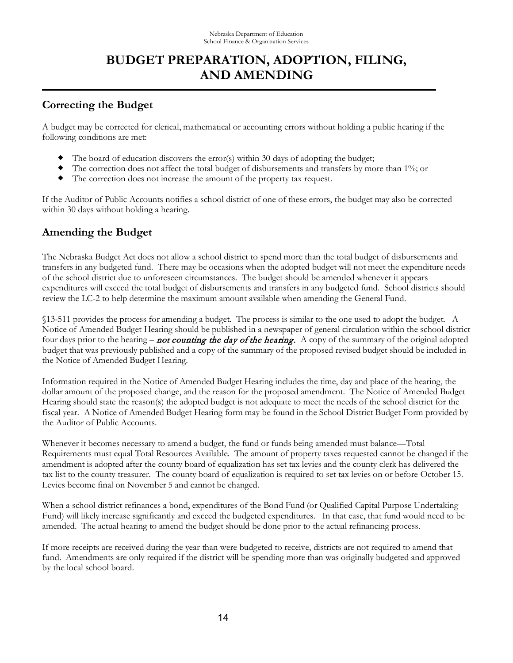### **Correcting the Budget**

A budget may be corrected for clerical, mathematical or accounting errors without holding a public hearing if the following conditions are met:

- $\blacklozenge$  The board of education discovers the error(s) within 30 days of adopting the budget;
- The correction does not affect the total budget of disbursements and transfers by more than 1%; or
- The correction does not increase the amount of the property tax request.

If the Auditor of Public Accounts notifies a school district of one of these errors, the budget may also be corrected within 30 days without holding a hearing.

### **Amending the Budget**

The Nebraska Budget Act does not allow a school district to spend more than the total budget of disbursements and transfers in any budgeted fund. There may be occasions when the adopted budget will not meet the expenditure needs of the school district due to unforeseen circumstances. The budget should be amended whenever it appears expenditures will exceed the total budget of disbursements and transfers in any budgeted fund. School districts should review the LC-2 to help determine the maximum amount available when amending the General Fund.

§13-511 provides the process for amending a budget. The process is similar to the one used to adopt the budget. A Notice of Amended Budget Hearing should be published in a newspaper of general circulation within the school district four days prior to the hearing – **not counting the day of the hearing.** A copy of the summary of the original adopted budget that was previously published and a copy of the summary of the proposed revised budget should be included in the Notice of Amended Budget Hearing.

Information required in the Notice of Amended Budget Hearing includes the time, day and place of the hearing, the dollar amount of the proposed change, and the reason for the proposed amendment. The Notice of Amended Budget Hearing should state the reason(s) the adopted budget is not adequate to meet the needs of the school district for the fiscal year. A Notice of Amended Budget Hearing form may be found in the School District Budget Form provided by the Auditor of Public Accounts.

Whenever it becomes necessary to amend a budget, the fund or funds being amended must balance—Total Requirements must equal Total Resources Available. The amount of property taxes requested cannot be changed if the amendment is adopted after the county board of equalization has set tax levies and the county clerk has delivered the tax list to the county treasurer. The county board of equalization is required to set tax levies on or before October 15. Levies become final on November 5 and cannot be changed.

When a school district refinances a bond, expenditures of the Bond Fund (or Qualified Capital Purpose Undertaking Fund) will likely increase significantly and exceed the budgeted expenditures. In that case, that fund would need to be amended. The actual hearing to amend the budget should be done prior to the actual refinancing process.

If more receipts are received during the year than were budgeted to receive, districts are not required to amend that fund. Amendments are only required if the district will be spending more than was originally budgeted and approved by the local school board.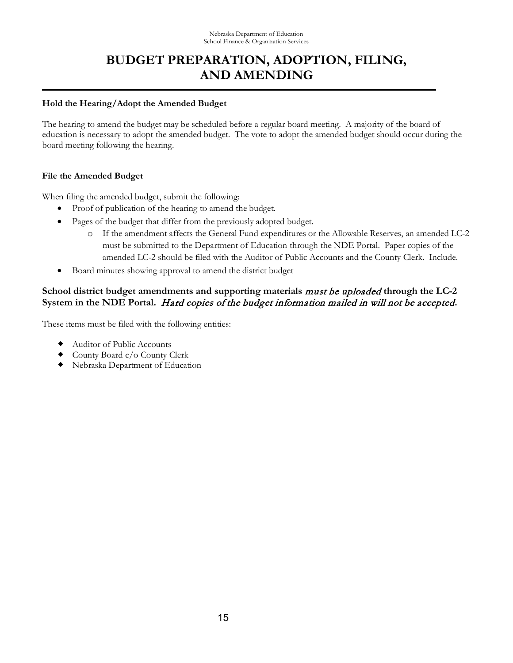#### **Hold the Hearing/Adopt the Amended Budget**

The hearing to amend the budget may be scheduled before a regular board meeting. A majority of the board of education is necessary to adopt the amended budget. The vote to adopt the amended budget should occur during the board meeting following the hearing.

#### **File the Amended Budget**

When filing the amended budget, submit the following:

- Proof of publication of the hearing to amend the budget.
- Pages of the budget that differ from the previously adopted budget.
	- o If the amendment affects the General Fund expenditures or the Allowable Reserves, an amended LC-2 must be submitted to the Department of Education through the NDE Portal. Paper copies of the amended LC-2 should be filed with the Auditor of Public Accounts and the County Clerk. Include.
- Board minutes showing approval to amend the district budget

### **School district budget amendments and supporting materials** must be uploaded **through the LC-2 System in the NDE Portal.** Hard copies of the budget information mailed in will not be accepted**.**

These items must be filed with the following entities:

- Auditor of Public Accounts
- County Board c/o County Clerk
- Nebraska Department of Education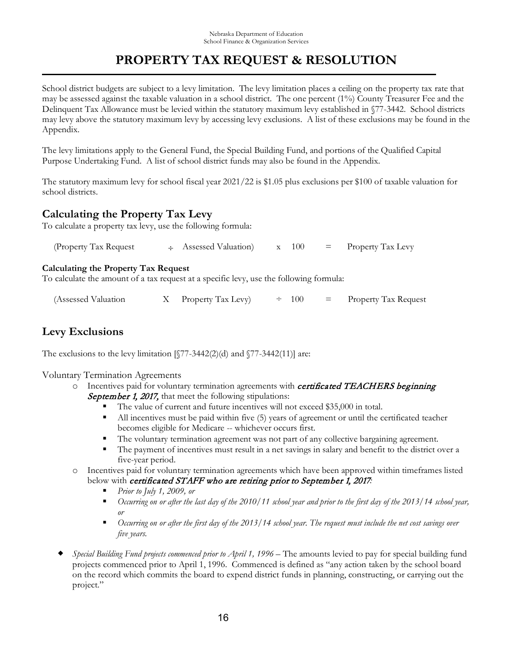School district budgets are subject to a levy limitation. The levy limitation places a ceiling on the property tax rate that may be assessed against the taxable valuation in a school district. The one percent (1%) County Treasurer Fee and the Delinquent Tax Allowance must be levied within the statutory maximum levy established in §77-3442. School districts may levy above the statutory maximum levy by accessing levy exclusions. A list of these exclusions may be found in the Appendix.

The levy limitations apply to the General Fund, the Special Building Fund, and portions of the Qualified Capital Purpose Undertaking Fund. A list of school district funds may also be found in the Appendix.

The statutory maximum levy for school fiscal year 2021/22 is \$1.05 plus exclusions per \$100 of taxable valuation for school districts.

### **Calculating the Property Tax Levy**

To calculate a property tax levy, use the following formula:

| (Property Tax Request |  | $\div$ Assessed Valuation |  | x 100 |  | $=$ Property Tax Levy |
|-----------------------|--|---------------------------|--|-------|--|-----------------------|
|-----------------------|--|---------------------------|--|-------|--|-----------------------|

#### **Calculating the Property Tax Request**

To calculate the amount of a tax request at a specific levy, use the following formula:

| (Assessed Valuation) |  | X Property Tax Levy) | $\div$ 100 |  | $=$ Property Tax Request |
|----------------------|--|----------------------|------------|--|--------------------------|
|----------------------|--|----------------------|------------|--|--------------------------|

### **Levy Exclusions**

The exclusions to the levy limitation  $[\$77-3442(2)(d)$  and  $\$77-3442(11)]$  are:

Voluntary Termination Agreements

- $\circ$  Incentives paid for voluntary termination agreements with *certificated TEACHERS beginning* September 1, 2017, that meet the following stipulations:
	- The value of current and future incentives will not exceed \$35,000 in total.
	- If All incentives must be paid within five (5) years of agreement or until the certificated teacher becomes eligible for Medicare -- whichever occurs first.
	- The voluntary termination agreement was not part of any collective bargaining agreement.
	- The payment of incentives must result in a net savings in salary and benefit to the district over a five-year period.
- o Incentives paid for voluntary termination agreements which have been approved within timeframes listed below with *certificated STAFF who are retiring prior to September 1, 2017:* 
	- *Prior to July 1, 2009, or*
	- *Occurring on or after the last day of the 2010/11 school year and prior to the first day of the 2013/14 school year, or*
	- *Occurring on or after the first day of the 2013/14 school year. The request must include the net cost savings over five years.*
- *Special Building Fund projects commenced prior to April 1, 1996* The amounts levied to pay for special building fund projects commenced prior to April 1, 1996. Commenced is defined as "any action taken by the school board on the record which commits the board to expend district funds in planning, constructing, or carrying out the project."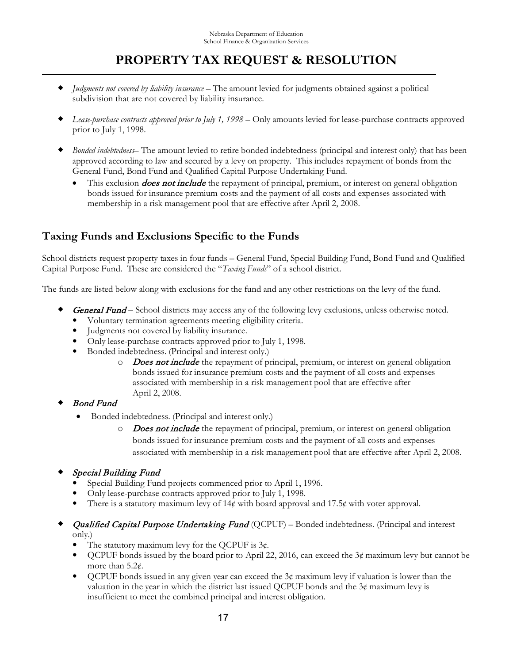- *Judgments not covered by liability insurance* The amount levied for judgments obtained against a political subdivision that are not covered by liability insurance.
- *Lease-purchase contracts approved prior to July 1, 1998* Only amounts levied for lease-purchase contracts approved prior to July 1, 1998.
- *Bonded indebtedness* The amount levied to retire bonded indebtedness (principal and interest only) that has been approved according to law and secured by a levy on property. This includes repayment of bonds from the General Fund, Bond Fund and Qualified Capital Purpose Undertaking Fund.
	- This exclusion *does not include* the repayment of principal, premium, or interest on general obligation bonds issued for insurance premium costs and the payment of all costs and expenses associated with membership in a risk management pool that are effective after April 2, 2008.

### **Taxing Funds and Exclusions Specific to the Funds**

School districts request property taxes in four funds – General Fund, Special Building Fund, Bond Fund and Qualified Capital Purpose Fund. These are considered the "*Taxing Funds*" of a school district.

The funds are listed below along with exclusions for the fund and any other restrictions on the levy of the fund.

- General Fund School districts may access any of the following levy exclusions, unless otherwise noted.
	- Voluntary termination agreements meeting eligibility criteria.
	- Judgments not covered by liability insurance.
	- Only lease-purchase contracts approved prior to July 1, 1998.
	- Bonded indebtedness. (Principal and interest only.)
		- O Does not include the repayment of principal, premium, or interest on general obligation bonds issued for insurance premium costs and the payment of all costs and expenses associated with membership in a risk management pool that are effective after April 2, 2008.
- Bond Fund
	- Bonded indebtedness. (Principal and interest only.)
		- O Does not include the repayment of principal, premium, or interest on general obligation bonds issued for insurance premium costs and the payment of all costs and expenses associated with membership in a risk management pool that are effective after April 2, 2008.
- Special Building Fund
	- Special Building Fund projects commenced prior to April 1, 1996.
	- Only lease-purchase contracts approved prior to July 1, 1998.
	- There is a statutory maximum levy of 14¢ with board approval and 17.5¢ with voter approval.

### Qualified Capital Purpose Undertaking Fund (QCPUF) - Bonded indebtedness. (Principal and interest only.)

- The statutory maximum levy for the QCPUF is  $3¢$ .
- QCPUF bonds issued by the board prior to April 22, 2016, can exceed the  $3¢$  maximum levy but cannot be more than 5.2¢.
- QCPUF bonds issued in any given year can exceed the  $3¢$  maximum levy if valuation is lower than the valuation in the year in which the district last issued QCPUF bonds and the  $3¢$  maximum levy is insufficient to meet the combined principal and interest obligation.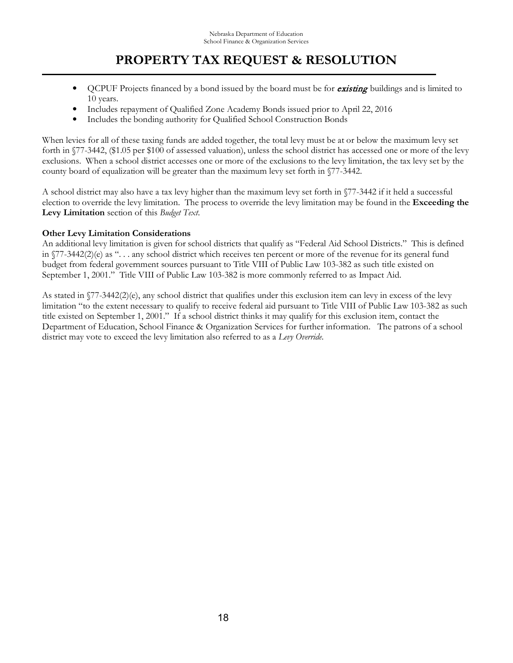- OCPUF Projects financed by a bond issued by the board must be for **existing** buildings and is limited to 10 years.
- Includes repayment of Qualified Zone Academy Bonds issued prior to April 22, 2016
- Includes the bonding authority for Qualified School Construction Bonds

When levies for all of these taxing funds are added together, the total levy must be at or below the maximum levy set forth in §77-3442, (\$1.05 per \$100 of assessed valuation), unless the school district has accessed one or more of the levy exclusions. When a school district accesses one or more of the exclusions to the levy limitation, the tax levy set by the county board of equalization will be greater than the maximum levy set forth in §77-3442.

A school district may also have a tax levy higher than the maximum levy set forth in §77-3442 if it held a successful election to override the levy limitation. The process to override the levy limitation may be found in the **Exceeding the Levy Limitation** section of this *Budget Text*.

### **Other Levy Limitation Considerations**

An additional levy limitation is given for school districts that qualify as "Federal Aid School Districts." This is defined in  $\sqrt{77-3442(2)}$ (e) as "... any school district which receives ten percent or more of the revenue for its general fund budget from federal government sources pursuant to Title VIII of Public Law 103-382 as such title existed on September 1, 2001." Title VIII of Public Law 103-382 is more commonly referred to as Impact Aid.

As stated in §77-3442(2)(e), any school district that qualifies under this exclusion item can levy in excess of the levy limitation "to the extent necessary to qualify to receive federal aid pursuant to Title VIII of Public Law 103-382 as such title existed on September 1, 2001." If a school district thinks it may qualify for this exclusion item, contact the Department of Education, School Finance & Organization Services for further information. The patrons of a school district may vote to exceed the levy limitation also referred to as a *Levy Override*.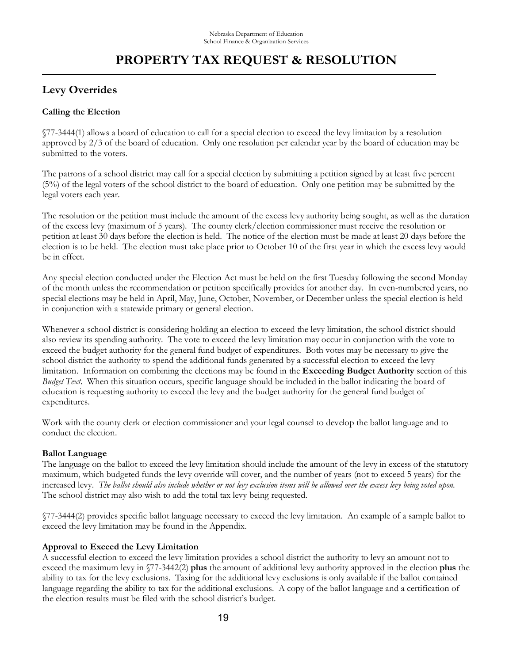### **Levy Overrides**

#### **Calling the Election**

§77-3444(1) allows a board of education to call for a special election to exceed the levy limitation by a resolution approved by 2/3 of the board of education. Only one resolution per calendar year by the board of education may be submitted to the voters.

The patrons of a school district may call for a special election by submitting a petition signed by at least five percent (5%) of the legal voters of the school district to the board of education. Only one petition may be submitted by the legal voters each year.

The resolution or the petition must include the amount of the excess levy authority being sought, as well as the duration of the excess levy (maximum of 5 years). The county clerk/election commissioner must receive the resolution or petition at least 30 days before the election is held. The notice of the election must be made at least 20 days before the election is to be held. The election must take place prior to October 10 of the first year in which the excess levy would be in effect.

Any special election conducted under the Election Act must be held on the first Tuesday following the second Monday of the month unless the recommendation or petition specifically provides for another day. In even-numbered years, no special elections may be held in April, May, June, October, November, or December unless the special election is held in conjunction with a statewide primary or general election.

Whenever a school district is considering holding an election to exceed the levy limitation, the school district should also review its spending authority. The vote to exceed the levy limitation may occur in conjunction with the vote to exceed the budget authority for the general fund budget of expenditures. Both votes may be necessary to give the school district the authority to spend the additional funds generated by a successful election to exceed the levy limitation. Information on combining the elections may be found in the **Exceeding Budget Authority** section of this *Budget Text*. When this situation occurs, specific language should be included in the ballot indicating the board of education is requesting authority to exceed the levy and the budget authority for the general fund budget of expenditures.

Work with the county clerk or election commissioner and your legal counsel to develop the ballot language and to conduct the election.

#### **Ballot Language**

The language on the ballot to exceed the levy limitation should include the amount of the levy in excess of the statutory maximum, which budgeted funds the levy override will cover, and the number of years (not to exceed 5 years) for the increased levy. *The ballot should also include whether or not levy exclusion items will be allowed over the excess levy being voted upon*. The school district may also wish to add the total tax levy being requested.

§77-3444(2) provides specific ballot language necessary to exceed the levy limitation. An example of a sample ballot to exceed the levy limitation may be found in the Appendix.

### **Approval to Exceed the Levy Limitation**

A successful election to exceed the levy limitation provides a school district the authority to levy an amount not to exceed the maximum levy in §77-3442(2) **plus** the amount of additional levy authority approved in the election **plus** the ability to tax for the levy exclusions. Taxing for the additional levy exclusions is only available if the ballot contained language regarding the ability to tax for the additional exclusions. A copy of the ballot language and a certification of the election results must be filed with the school district's budget.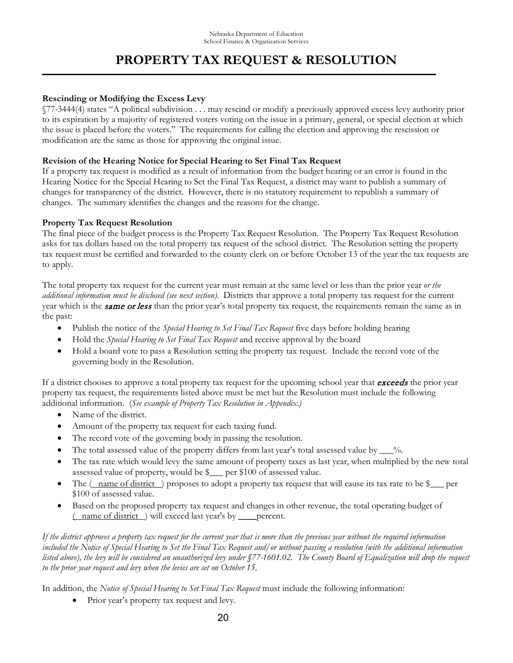#### **Rescinding or Modifying the Excess Levy**

§77-3444(4) states "A political subdivision . . . may rescind or modify a previously approved excess levy authority prior to its expiration by a majority of registered voters voting on the issue in a primary, general, or special election at which the issue is placed before the voters." The requirements for calling the election and approving the rescission or modification are the same as those for approving the original issue.

#### **Revision of the Hearing Notice for Special Hearing to Set Final Tax Request**

If a property tax request is modified as a result of information from the budget hearing or an error is found in the Hearing Notice for the Special Hearing to Set the Final Tax Request, a district may want to publish a summary of changes for transparency of the district. However, there is no statutory requirement to republish a summary of changes. The summary identifies the changes and the reasons for the change.

#### **Property Tax Request Resolution**

The final piece of the budget process is the Property Tax Request Resolution. The Property Tax Request Resolution asks for tax dollars based on the total property tax request of the school district. The Resolution setting the property tax request must be certified and forwarded to the county clerk on or before October 13 of the year the tax requests are to apply.

The total property tax request for the current year must remain at the same level or less than the prior year *or the additional information must be disclosed (see next section).* Districts that approve a total property tax request for the current year which is the **same or less** than the prior year's total property tax request, the requirements remain the same as in the past:

- Publish the notice of the *Special Hearing to Set Final Tax Request* five days before holding hearing
- Hold the *Special Hearing to Set Final Tax Request* and receive approval by the board
- Hold a board vote to pass a Resolution setting the property tax request. Include the record vote of the governing body in the Resolution.

If a district chooses to approve a total property tax request for the upcoming school year that **exceeds** the prior year property tax request, the requirements listed above must be met but the Resolution must include the following additional information. (*See example of Property Tax Resolution in Appendix.)*

- Name of the district.
- Amount of the property tax request for each taxing fund.
- The record vote of the governing body in passing the resolution.
- The total assessed value of the property differs from last year's total assessed value by  $\frac{9}{6}$ .
- The tax rate which would levy the same amount of property taxes as last year, when multiplied by the new total assessed value of property, would be \$\_\_\_ per \$100 of assessed value.
- The  $(\_$ name of district  $)$  proposes to adopt a property tax request that will cause its tax rate to be  $\_$  per \$100 of assessed value.
- Based on the proposed property tax request and changes in other revenue, the total operating budget of ( name of district ) will exceed last year's by \_\_\_\_percent.

*If the district approves a property tax request for the current year that is more than the previous year without the required information included the Notice of Special Hearing to Set the Final Tax Request and/or without passing a resolution (with the additional information listed above), the levy will be considered an unauthorized levy under §77-1601.02. The County Board of Equalization will drop the request to the prior year request and levy when the levies are set on October 15*.

In addition, the *Notice of Special Hearing to Set Final Tax Request* must include the following information:

Prior year's property tax request and levy.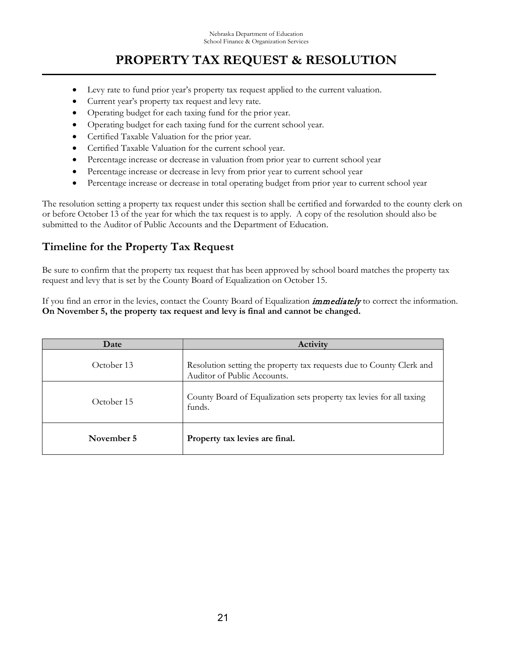- Levy rate to fund prior year's property tax request applied to the current valuation.
- Current year's property tax request and levy rate.
- Operating budget for each taxing fund for the prior year.
- Operating budget for each taxing fund for the current school year.
- Certified Taxable Valuation for the prior year.
- Certified Taxable Valuation for the current school year.
- Percentage increase or decrease in valuation from prior year to current school year
- Percentage increase or decrease in levy from prior year to current school year
- Percentage increase or decrease in total operating budget from prior year to current school year

The resolution setting a property tax request under this section shall be certified and forwarded to the county clerk on or before October 13 of the year for which the tax request is to apply. A copy of the resolution should also be submitted to the Auditor of Public Accounts and the Department of Education.

### **Timeline for the Property Tax Request**

Be sure to confirm that the property tax request that has been approved by school board matches the property tax request and levy that is set by the County Board of Equalization on October 15.

If you find an error in the levies, contact the County Board of Equalization *immediately* to correct the information. **On November 5, the property tax request and levy is final and cannot be changed.**

| Date       | Activity                                                                                            |
|------------|-----------------------------------------------------------------------------------------------------|
| October 13 | Resolution setting the property tax requests due to County Clerk and<br>Auditor of Public Accounts. |
| October 15 | County Board of Equalization sets property tax levies for all taxing<br>funds.                      |
| November 5 | Property tax levies are final.                                                                      |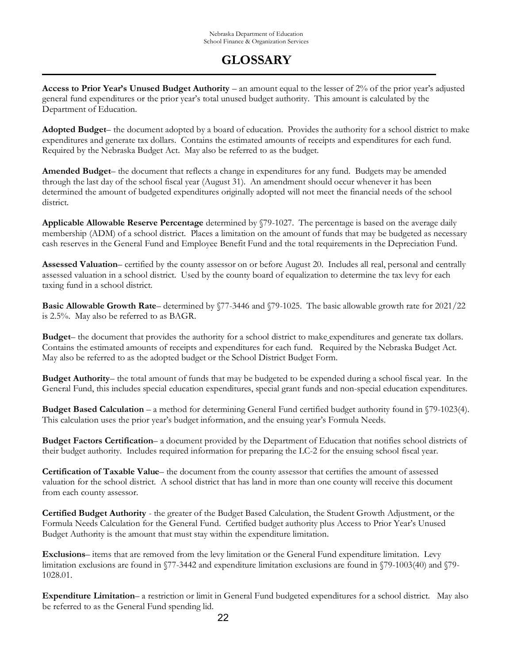**Access to Prior Year's Unused Budget Authority** – an amount equal to the lesser of 2% of the prior year's adjusted general fund expenditures or the prior year's total unused budget authority. This amount is calculated by the Department of Education.

**Adopted Budget**– the document adopted by a board of education. Provides the authority for a school district to make expenditures and generate tax dollars. Contains the estimated amounts of receipts and expenditures for each fund. Required by the Nebraska Budget Act. May also be referred to as the budget.

**Amended Budget**– the document that reflects a change in expenditures for any fund. Budgets may be amended through the last day of the school fiscal year (August 31). An amendment should occur whenever it has been determined the amount of budgeted expenditures originally adopted will not meet the financial needs of the school district.

**Applicable Allowable Reserve Percentage** determined by §79-1027. The percentage is based on the average daily membership (ADM) of a school district. Places a limitation on the amount of funds that may be budgeted as necessary cash reserves in the General Fund and Employee Benefit Fund and the total requirements in the Depreciation Fund.

**Assessed Valuation**– certified by the county assessor on or before August 20. Includes all real, personal and centrally assessed valuation in a school district. Used by the county board of equalization to determine the tax levy for each taxing fund in a school district.

**Basic Allowable Growth Rate–** determined by §77-3446 and §79-1025. The basic allowable growth rate for 2021/22 is 2.5%. May also be referred to as BAGR.

**Budget**– the document that provides the authority for a school district to make expenditures and generate tax dollars. Contains the estimated amounts of receipts and expenditures for each fund. Required by the Nebraska Budget Act. May also be referred to as the adopted budget or the School District Budget Form.

**Budget Authority**– the total amount of funds that may be budgeted to be expended during a school fiscal year. In the General Fund, this includes special education expenditures, special grant funds and non-special education expenditures.

**Budget Based Calculation** – a method for determining General Fund certified budget authority found in §79-1023(4). This calculation uses the prior year's budget information, and the ensuing year's Formula Needs.

**Budget Factors Certification**– a document provided by the Department of Education that notifies school districts of their budget authority. Includes required information for preparing the LC-2 for the ensuing school fiscal year.

**Certification of Taxable Value**– the document from the county assessor that certifies the amount of assessed valuation for the school district. A school district that has land in more than one county will receive this document from each county assessor.

**Certified Budget Authority** - the greater of the Budget Based Calculation, the Student Growth Adjustment, or the Formula Needs Calculation for the General Fund. Certified budget authority plus Access to Prior Year's Unused Budget Authority is the amount that must stay within the expenditure limitation.

**Exclusions**– items that are removed from the levy limitation or the General Fund expenditure limitation. Levy limitation exclusions are found in §77-3442 and expenditure limitation exclusions are found in §79-1003(40) and §79- 1028.01.

**Expenditure Limitation**– a restriction or limit in General Fund budgeted expenditures for a school district. May also be referred to as the General Fund spending lid.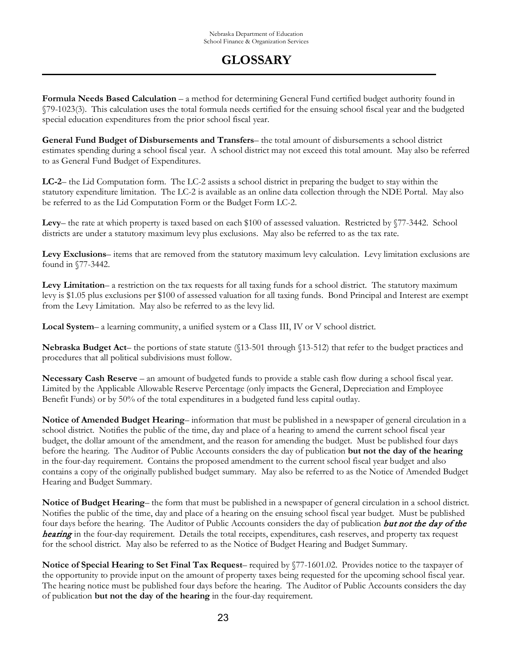**Formula Needs Based Calculation** – a method for determining General Fund certified budget authority found in §79-1023(3). This calculation uses the total formula needs certified for the ensuing school fiscal year and the budgeted special education expenditures from the prior school fiscal year.

**General Fund Budget of Disbursements and Transfers**– the total amount of disbursements a school district estimates spending during a school fiscal year. A school district may not exceed this total amount. May also be referred to as General Fund Budget of Expenditures.

**LC-2**– the Lid Computation form. The LC-2 assists a school district in preparing the budget to stay within the statutory expenditure limitation. The LC-2 is available as an online data collection through the NDE Portal. May also be referred to as the Lid Computation Form or the Budget Form LC-2.

**Levy**– the rate at which property is taxed based on each \$100 of assessed valuation. Restricted by §77-3442. School districts are under a statutory maximum levy plus exclusions. May also be referred to as the tax rate.

**Levy Exclusions**– items that are removed from the statutory maximum levy calculation. Levy limitation exclusions are found in §77-3442.

Levy Limitation– a restriction on the tax requests for all taxing funds for a school district. The statutory maximum levy is \$1.05 plus exclusions per \$100 of assessed valuation for all taxing funds. Bond Principal and Interest are exempt from the Levy Limitation. May also be referred to as the levy lid.

**Local System**– a learning community, a unified system or a Class III, IV or V school district.

**Nebraska Budget Act**– the portions of state statute (§13-501 through §13-512) that refer to the budget practices and procedures that all political subdivisions must follow.

**Necessary Cash Reserve** – an amount of budgeted funds to provide a stable cash flow during a school fiscal year. Limited by the Applicable Allowable Reserve Percentage (only impacts the General, Depreciation and Employee Benefit Funds) or by 50% of the total expenditures in a budgeted fund less capital outlay.

**Notice of Amended Budget Hearing**– information that must be published in a newspaper of general circulation in a school district. Notifies the public of the time, day and place of a hearing to amend the current school fiscal year budget, the dollar amount of the amendment, and the reason for amending the budget. Must be published four days before the hearing. The Auditor of Public Accounts considers the day of publication **but not the day of the hearing** in the four-day requirement. Contains the proposed amendment to the current school fiscal year budget and also contains a copy of the originally published budget summary. May also be referred to as the Notice of Amended Budget Hearing and Budget Summary.

**Notice of Budget Hearing**– the form that must be published in a newspaper of general circulation in a school district. Notifies the public of the time, day and place of a hearing on the ensuing school fiscal year budget. Must be published four days before the hearing. The Auditor of Public Accounts considers the day of publication **but not the day of the** hearing in the four-day requirement. Details the total receipts, expenditures, cash reserves, and property tax request for the school district. May also be referred to as the Notice of Budget Hearing and Budget Summary.

**Notice of Special Hearing to Set Final Tax Request**– required by §77-1601.02. Provides notice to the taxpayer of the opportunity to provide input on the amount of property taxes being requested for the upcoming school fiscal year. The hearing notice must be published four days before the hearing. The Auditor of Public Accounts considers the day of publication **but not the day of the hearing** in the four-day requirement.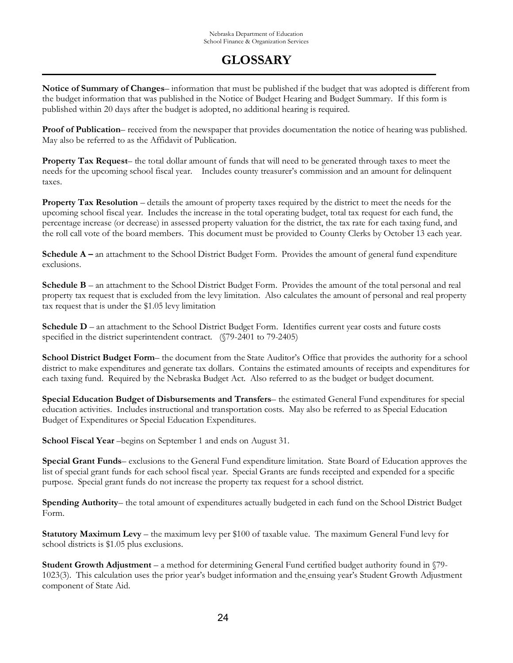**Notice of Summary of Changes**– information that must be published if the budget that was adopted is different from the budget information that was published in the Notice of Budget Hearing and Budget Summary. If this form is published within 20 days after the budget is adopted, no additional hearing is required.

**Proof of Publication**– received from the newspaper that provides documentation the notice of hearing was published. May also be referred to as the Affidavit of Publication.

**Property Tax Request**– the total dollar amount of funds that will need to be generated through taxes to meet the needs for the upcoming school fiscal year. Includes county treasurer's commission and an amount for delinquent taxes.

**Property Tax Resolution** – details the amount of property taxes required by the district to meet the needs for the upcoming school fiscal year. Includes the increase in the total operating budget, total tax request for each fund, the percentage increase (or decrease) in assessed property valuation for the district, the tax rate for each taxing fund, and the roll call vote of the board members. This document must be provided to County Clerks by October 13 each year.

**Schedule A** – an attachment to the School District Budget Form. Provides the amount of general fund expenditure exclusions.

**Schedule B** – an attachment to the School District Budget Form. Provides the amount of the total personal and real property tax request that is excluded from the levy limitation. Also calculates the amount of personal and real property tax request that is under the \$1.05 levy limitation

**Schedule D** – an attachment to the School District Budget Form. Identifies current year costs and future costs specified in the district superintendent contract. (§79-2401 to 79-2405)

**School District Budget Form**– the document from the State Auditor's Office that provides the authority for a school district to make expenditures and generate tax dollars. Contains the estimated amounts of receipts and expenditures for each taxing fund. Required by the Nebraska Budget Act. Also referred to as the budget or budget document.

**Special Education Budget of Disbursements and Transfers**– the estimated General Fund expenditures for special education activities. Includes instructional and transportation costs. May also be referred to as Special Education Budget of Expenditures or Special Education Expenditures.

**School Fiscal Year** –begins on September 1 and ends on August 31.

**Special Grant Funds**– exclusions to the General Fund expenditure limitation. State Board of Education approves the list of special grant funds for each school fiscal year. Special Grants are funds receipted and expended for a specific purpose. Special grant funds do not increase the property tax request for a school district.

**Spending Authority**– the total amount of expenditures actually budgeted in each fund on the School District Budget Form.

**Statutory Maximum Levy** – the maximum levy per \$100 of taxable value. The maximum General Fund levy for school districts is \$1.05 plus exclusions.

**Student Growth Adjustment** – a method for determining General Fund certified budget authority found in §79- 1023(3). This calculation uses the prior year's budget information and the ensuing year's Student Growth Adjustment component of State Aid.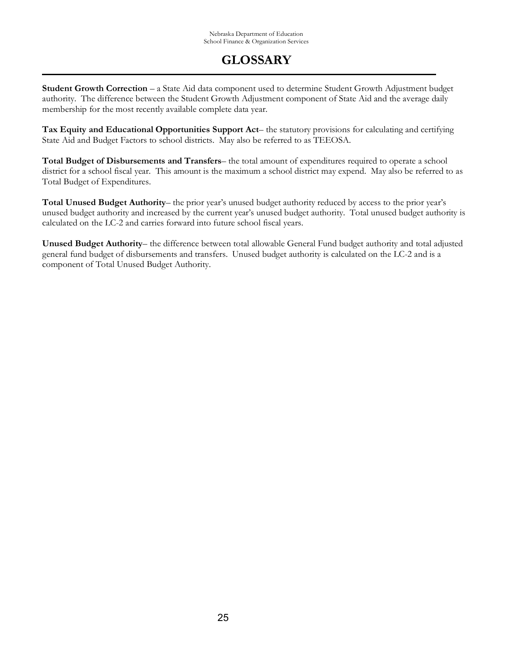**Student Growth Correction** – a State Aid data component used to determine Student Growth Adjustment budget authority. The difference between the Student Growth Adjustment component of State Aid and the average daily membership for the most recently available complete data year.

**Tax Equity and Educational Opportunities Support Act**– the statutory provisions for calculating and certifying State Aid and Budget Factors to school districts. May also be referred to as TEEOSA.

**Total Budget of Disbursements and Transfers**– the total amount of expenditures required to operate a school district for a school fiscal year. This amount is the maximum a school district may expend. May also be referred to as Total Budget of Expenditures.

**Total Unused Budget Authority**– the prior year's unused budget authority reduced by access to the prior year's unused budget authority and increased by the current year's unused budget authority. Total unused budget authority is calculated on the LC-2 and carries forward into future school fiscal years.

**Unused Budget Authority**– the difference between total allowable General Fund budget authority and total adjusted general fund budget of disbursements and transfers. Unused budget authority is calculated on the LC-2 and is a component of Total Unused Budget Authority.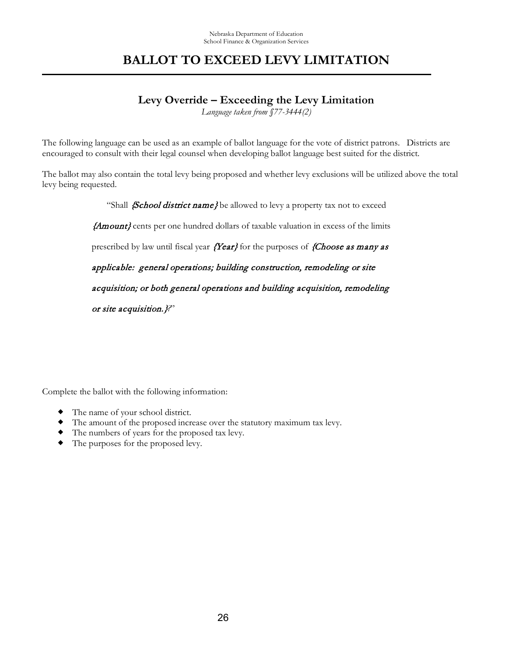## **BALLOT TO EXCEED LEVY LIMITATION**

### **Levy Override – Exceeding the Levy Limitation**

*Language taken from §77-3444(2)*

The following language can be used as an example of ballot language for the vote of district patrons. Districts are encouraged to consult with their legal counsel when developing ballot language best suited for the district.

The ballot may also contain the total levy being proposed and whether levy exclusions will be utilized above the total levy being requested.

"Shall *School district name}* be allowed to levy a property tax not to exceed

{Amount} cents per one hundred dollars of taxable valuation in excess of the limits

prescribed by law until fiscal year  ${Year}$  for the purposes of  ${Choose\ as\ many\ as}$ 

applicable: general operations; building construction, remodeling or site

acquisition; or both general operations and building acquisition, remodeling

or site acquisition.}*?*"

Complete the ballot with the following information:

- The name of your school district.
- The amount of the proposed increase over the statutory maximum tax levy.
- The numbers of years for the proposed tax levy.
- The purposes for the proposed levy.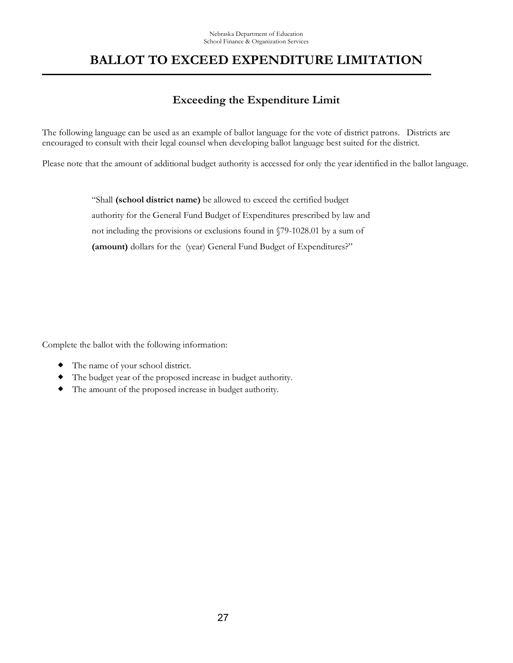## **BALLOT TO EXCEED EXPENDITURE LIMITATION**

### **Exceeding the Expenditure Limit**

The following language can be used as an example of ballot language for the vote of district patrons. Districts are encouraged to consult with their legal counsel when developing ballot language best suited for the district.

Please note that the amount of additional budget authority is accessed for only the year identified in the ballot language.

"Shall **(school district name)** be allowed to exceed the certified budget authority for the General Fund Budget of Expenditures prescribed by law and not including the provisions or exclusions found in §79-1028.01 by a sum of **(amount)** dollars for the (year) General Fund Budget of Expenditures?"

Complete the ballot with the following information:

- The name of your school district.
- The budget year of the proposed increase in budget authority.
- The amount of the proposed increase in budget authority.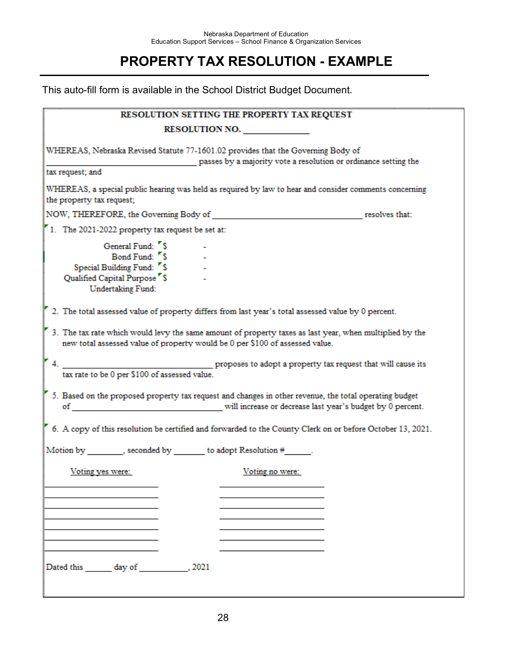## **PROPERTY TAX RESOLUTION - EXAMPLE**

This auto-fill form is available in the School District Budget Document.

| RESOLUTION SETTING THE PROPERTY TAX REQUEST                                                                                                                                             |                                                                                                                                                     |  |  |  |  |  |
|-----------------------------------------------------------------------------------------------------------------------------------------------------------------------------------------|-----------------------------------------------------------------------------------------------------------------------------------------------------|--|--|--|--|--|
|                                                                                                                                                                                         | <b>RESOLUTION NO.</b>                                                                                                                               |  |  |  |  |  |
| tax request; and                                                                                                                                                                        | WHEREAS, Nebraska Revised Statute 77-1601.02 provides that the Governing Body of<br>passes by a majority vote a resolution or ordinance setting the |  |  |  |  |  |
| WHEREAS, a special public hearing was held as required by law to hear and consider comments concerning                                                                                  |                                                                                                                                                     |  |  |  |  |  |
| the property tax request;                                                                                                                                                               |                                                                                                                                                     |  |  |  |  |  |
|                                                                                                                                                                                         |                                                                                                                                                     |  |  |  |  |  |
| 1. The 2021-2022 property tax request be set at:                                                                                                                                        |                                                                                                                                                     |  |  |  |  |  |
| General Fund: 5<br>Bond Fund: 5<br>Special Building Fund: 5<br>Qualified Capital Purpose <sup>5</sup><br>Undertaking Fund:                                                              |                                                                                                                                                     |  |  |  |  |  |
| 2. The total assessed value of property differs from last year's total assessed value by 0 percent.                                                                                     |                                                                                                                                                     |  |  |  |  |  |
| 3. The tax rate which would levy the same amount of property taxes as last year, when multiplied by the<br>new total assessed value of property would be 0 per \$100 of assessed value. |                                                                                                                                                     |  |  |  |  |  |
| tax rate to be 0 per \$100 of assessed value.                                                                                                                                           |                                                                                                                                                     |  |  |  |  |  |
| 5. Based on the proposed property tax request and changes in other revenue, the total operating budget                                                                                  | of will increase or decrease last year's budget by 0 percent.                                                                                       |  |  |  |  |  |
| 6. A copy of this resolution be certified and forwarded to the County Clerk on or before October 13, 2021.                                                                              |                                                                                                                                                     |  |  |  |  |  |
| Motion by ________, seconded by _______ to adopt Resolution #______.                                                                                                                    |                                                                                                                                                     |  |  |  |  |  |
| Voting yes were:                                                                                                                                                                        | Voting no were:                                                                                                                                     |  |  |  |  |  |
|                                                                                                                                                                                         |                                                                                                                                                     |  |  |  |  |  |
|                                                                                                                                                                                         |                                                                                                                                                     |  |  |  |  |  |
|                                                                                                                                                                                         |                                                                                                                                                     |  |  |  |  |  |
|                                                                                                                                                                                         |                                                                                                                                                     |  |  |  |  |  |
| Dated this day of 2021                                                                                                                                                                  |                                                                                                                                                     |  |  |  |  |  |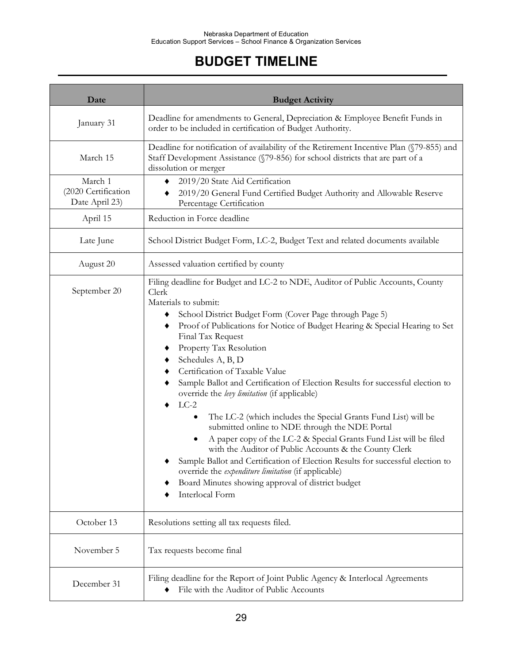## **BUDGET TIMELINE**

| Date                                             | <b>Budget Activity</b>                                                                                                                                                                                                                                                                                                                                                                                                                                                                                                                                                                                                                                                                                                                                                                                                                                                                                                                                                                                       |  |  |
|--------------------------------------------------|--------------------------------------------------------------------------------------------------------------------------------------------------------------------------------------------------------------------------------------------------------------------------------------------------------------------------------------------------------------------------------------------------------------------------------------------------------------------------------------------------------------------------------------------------------------------------------------------------------------------------------------------------------------------------------------------------------------------------------------------------------------------------------------------------------------------------------------------------------------------------------------------------------------------------------------------------------------------------------------------------------------|--|--|
| January 31                                       | Deadline for amendments to General, Depreciation & Employee Benefit Funds in<br>order to be included in certification of Budget Authority.                                                                                                                                                                                                                                                                                                                                                                                                                                                                                                                                                                                                                                                                                                                                                                                                                                                                   |  |  |
| March 15                                         | Deadline for notification of availability of the Retirement Incentive Plan (§79-855) and<br>Staff Development Assistance (§79-856) for school districts that are part of a<br>dissolution or merger                                                                                                                                                                                                                                                                                                                                                                                                                                                                                                                                                                                                                                                                                                                                                                                                          |  |  |
| March 1<br>(2020 Certification<br>Date April 23) | 2019/20 State Aid Certification<br>2019/20 General Fund Certified Budget Authority and Allowable Reserve<br>Percentage Certification                                                                                                                                                                                                                                                                                                                                                                                                                                                                                                                                                                                                                                                                                                                                                                                                                                                                         |  |  |
| April 15                                         | Reduction in Force deadline                                                                                                                                                                                                                                                                                                                                                                                                                                                                                                                                                                                                                                                                                                                                                                                                                                                                                                                                                                                  |  |  |
| Late June                                        | School District Budget Form, LC-2, Budget Text and related documents available                                                                                                                                                                                                                                                                                                                                                                                                                                                                                                                                                                                                                                                                                                                                                                                                                                                                                                                               |  |  |
| August 20                                        | Assessed valuation certified by county                                                                                                                                                                                                                                                                                                                                                                                                                                                                                                                                                                                                                                                                                                                                                                                                                                                                                                                                                                       |  |  |
| September 20                                     | Filing deadline for Budget and LC-2 to NDE, Auditor of Public Accounts, County<br>Clerk<br>Materials to submit:<br>School District Budget Form (Cover Page through Page 5)<br>Proof of Publications for Notice of Budget Hearing & Special Hearing to Set<br>٠<br>Final Tax Request<br>Property Tax Resolution<br>٠<br>Schedules A, B, D<br>Certification of Taxable Value<br>Sample Ballot and Certification of Election Results for successful election to<br>override the levy limitation (if applicable)<br>$LC-2$<br>The LC-2 (which includes the Special Grants Fund List) will be<br>٠<br>submitted online to NDE through the NDE Portal<br>A paper copy of the LC-2 & Special Grants Fund List will be filed<br>$\bullet$<br>with the Auditor of Public Accounts & the County Clerk<br>Sample Ballot and Certification of Election Results for successful election to<br>override the expenditure limitation (if applicable)<br>Board Minutes showing approval of district budget<br>Interlocal Form |  |  |
| October 13                                       | Resolutions setting all tax requests filed.                                                                                                                                                                                                                                                                                                                                                                                                                                                                                                                                                                                                                                                                                                                                                                                                                                                                                                                                                                  |  |  |
| November 5                                       | Tax requests become final                                                                                                                                                                                                                                                                                                                                                                                                                                                                                                                                                                                                                                                                                                                                                                                                                                                                                                                                                                                    |  |  |
| December 31                                      | Filing deadline for the Report of Joint Public Agency & Interlocal Agreements<br>File with the Auditor of Public Accounts                                                                                                                                                                                                                                                                                                                                                                                                                                                                                                                                                                                                                                                                                                                                                                                                                                                                                    |  |  |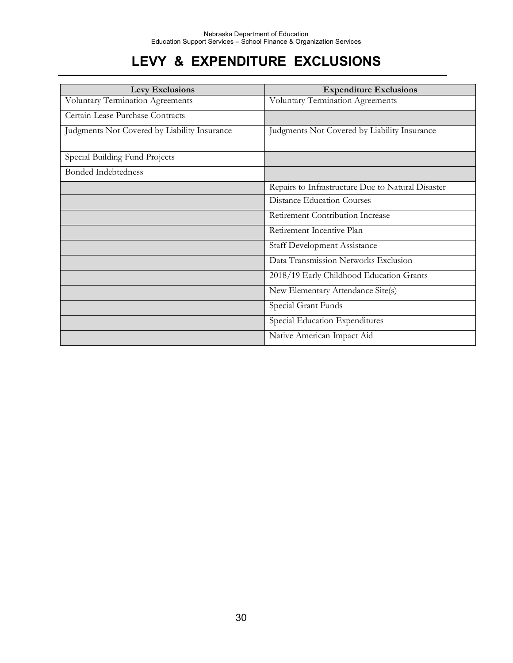## **LEVY & EXPENDITURE EXCLUSIONS**

| Levy Exclusions                              | <b>Expenditure Exclusions</b>                     |
|----------------------------------------------|---------------------------------------------------|
| Voluntary Termination Agreements             | Voluntary Termination Agreements                  |
| Certain Lease Purchase Contracts             |                                                   |
| Judgments Not Covered by Liability Insurance | Judgments Not Covered by Liability Insurance      |
| Special Building Fund Projects               |                                                   |
| <b>Bonded Indebtedness</b>                   |                                                   |
|                                              | Repairs to Infrastructure Due to Natural Disaster |
|                                              | <b>Distance Education Courses</b>                 |
|                                              | Retirement Contribution Increase                  |
|                                              | Retirement Incentive Plan                         |
|                                              | <b>Staff Development Assistance</b>               |
|                                              | Data Transmission Networks Exclusion              |
|                                              | 2018/19 Early Childhood Education Grants          |
|                                              | New Elementary Attendance Site(s)                 |
|                                              | Special Grant Funds                               |
|                                              | Special Education Expenditures                    |
|                                              | Native American Impact Aid                        |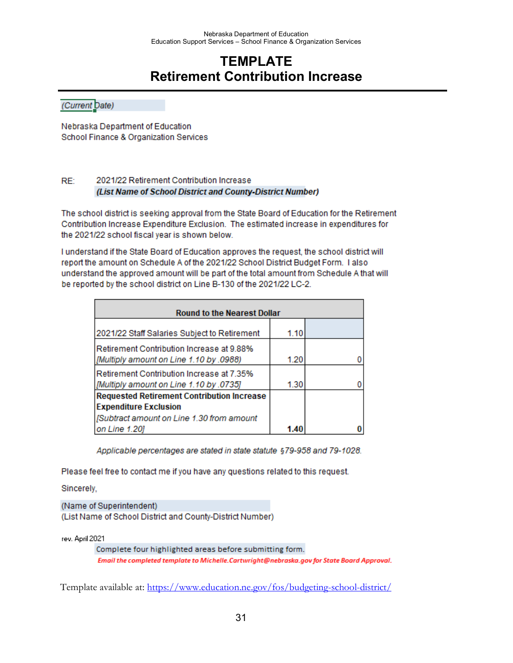### **TEMPLATE Retirement Contribution Increase**

(Current Date)

Nebraska Department of Education School Finance & Organization Services

#### RE: 2021/22 Retirement Contribution Increase (List Name of School District and County-District Number)

The school district is seeking approval from the State Board of Education for the Retirement Contribution Increase Expenditure Exclusion. The estimated increase in expenditures for the 2021/22 school fiscal year is shown below.

I understand if the State Board of Education approves the request, the school district will report the amount on Schedule A of the 2021/22 School District Budget Form. I also understand the approved amount will be part of the total amount from Schedule A that will be reported by the school district on Line B-130 of the 2021/22 LC-2.

| <b>Round to the Nearest Dollar</b>                                                   |      |  |  |  |  |
|--------------------------------------------------------------------------------------|------|--|--|--|--|
| 2021/22 Staff Salaries Subject to Retirement                                         | 1.10 |  |  |  |  |
| Retirement Contribution Increase at 9.88%<br>[Multiply amount on Line 1.10 by .0988] | 1.20 |  |  |  |  |
| Retirement Contribution Increase at 7.35%<br>[Multiply amount on Line 1.10 by .0735] | 1.30 |  |  |  |  |
| <b>Requested Retirement Contribution Increase</b><br><b>Expenditure Exclusion</b>    |      |  |  |  |  |
| [Subtract amount on Line 1.30 from amount<br>on Line 1.20]                           | 1.40 |  |  |  |  |

Applicable percentages are stated in state statute §79-958 and 79-1028.

Please feel free to contact me if you have any questions related to this request.

Sincerely,

(Name of Superintendent) (List Name of School District and County-District Number)

rev. April 2021

Complete four highlighted areas before submitting form. Email the completed template to Michelle.Cartwright@nebraska.gov for State Board Approval.

Template available at:<https://www.education.ne.gov/fos/budgeting-school-district/>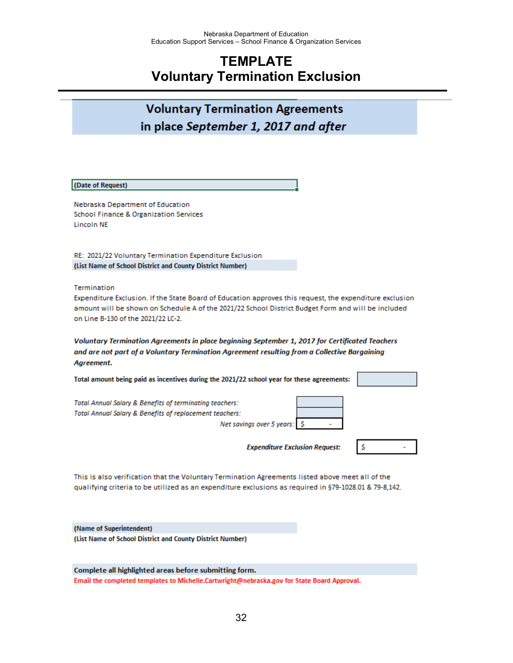### **TEMPLATE Voluntary Termination Exclusion**

### **Voluntary Termination Agreements** in place September 1, 2017 and after

#### (Date of Request)

Nebraska Department of Education School Finance & Organization Services **Lincoln NE** 

RE: 2021/22 Voluntary Termination Expenditure Exclusion (List Name of School District and County District Number)

Termination

Expenditure Exclusion. If the State Board of Education approves this request, the expenditure exclusion amount will be shown on Schedule A of the 2021/22 School District Budget Form and will be included on Line B-130 of the 2021/22 LC-2.

Voluntary Termination Agreements in place beginning September 1, 2017 for Certificated Teachers and are not part of a Voluntary Termination Agreement resulting from a Collective Bargaining Agreement.

| Total amount being paid as incentives during the 2021/22 school year for these agreements:                                                                               |  |
|--------------------------------------------------------------------------------------------------------------------------------------------------------------------------|--|
| <b>Total Annual Salary &amp; Benefits of terminating teachers:</b><br><b>Total Annual Salary &amp; Benefits of replacement teachers:</b><br>Net savings over 5 years: \$ |  |
| <b>Expenditure Exclusion Request:</b>                                                                                                                                    |  |

This is also verification that the Voluntary Termination Agreements listed above meet all of the qualifying criteria to be utilized as an expenditure exclusions as required in §79-1028.01 & 79-8,142.

(Name of Superintendent) (List Name of School District and County District Number)

Complete all highlighted areas before submitting form. Email the completed templates to Michelle.Cartwright@nebraska.gov for State Board Approval.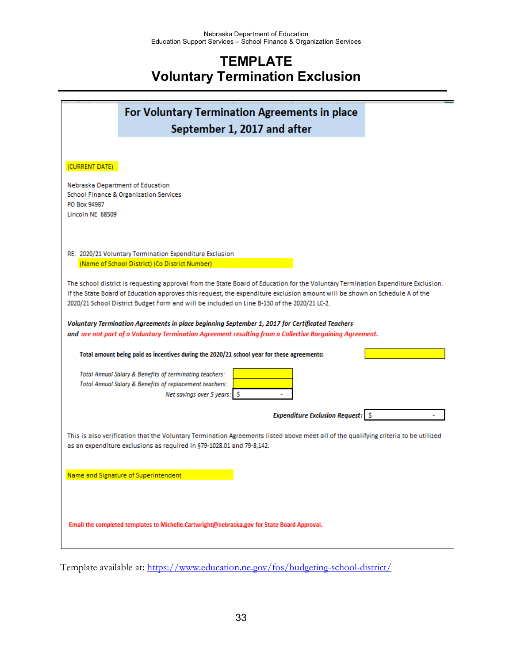### **TEMPLATE Voluntary Termination Exclusion**

|                                        |                                                                                                                                                    | For Voluntary Termination Agreements in place<br>September 1, 2017 and after                                                                                                                                                                                                                                                                                   |  |
|----------------------------------------|----------------------------------------------------------------------------------------------------------------------------------------------------|----------------------------------------------------------------------------------------------------------------------------------------------------------------------------------------------------------------------------------------------------------------------------------------------------------------------------------------------------------------|--|
|                                        |                                                                                                                                                    |                                                                                                                                                                                                                                                                                                                                                                |  |
| (CURRENT DATE)                         |                                                                                                                                                    |                                                                                                                                                                                                                                                                                                                                                                |  |
| Nebraska Department of Education       |                                                                                                                                                    |                                                                                                                                                                                                                                                                                                                                                                |  |
| School Finance & Organization Services |                                                                                                                                                    |                                                                                                                                                                                                                                                                                                                                                                |  |
| PO Box 94987                           |                                                                                                                                                    |                                                                                                                                                                                                                                                                                                                                                                |  |
| Lincoln NE 68509                       |                                                                                                                                                    |                                                                                                                                                                                                                                                                                                                                                                |  |
|                                        |                                                                                                                                                    |                                                                                                                                                                                                                                                                                                                                                                |  |
|                                        | RE: 2020/21 Voluntary Termination Expenditure Exclusion                                                                                            |                                                                                                                                                                                                                                                                                                                                                                |  |
|                                        | (Name of School District) (Co District Number)                                                                                                     |                                                                                                                                                                                                                                                                                                                                                                |  |
|                                        |                                                                                                                                                    | The school district is requesting approval from the State Board of Education for the Voluntary Termination Expenditure Exclusion.<br>If the State Board of Education approves this request, the expenditure exclusion amount will be shown on Schedule A of the<br>2020/21 School District Budget Form and will be included on Line B-130 of the 2020/21 LC-2. |  |
|                                        |                                                                                                                                                    |                                                                                                                                                                                                                                                                                                                                                                |  |
|                                        |                                                                                                                                                    | Voluntary Termination Agreements in place beginning September 1, 2017 for Certificated Teachers<br>and are not part of a Voluntary Termination Agreement resulting from a Collective Bargaining Agreement.                                                                                                                                                     |  |
|                                        | Total amount being paid as incentives during the 2020/21 school year for these agreements:                                                         |                                                                                                                                                                                                                                                                                                                                                                |  |
|                                        | Total Annual Salary & Benefits of terminating teachers:<br>Total Annual Salary & Benefits of replacement teachers:<br>Net savings over 5 years: \$ |                                                                                                                                                                                                                                                                                                                                                                |  |
|                                        |                                                                                                                                                    | <b>Expenditure Exclusion Request:</b> \$                                                                                                                                                                                                                                                                                                                       |  |
|                                        | as an expenditure exclusions as required in §79-1028.01 and 79-8,142.                                                                              | This is also verification that the Voluntary Termination Agreements listed above meet all of the qualifying criteria to be utilized                                                                                                                                                                                                                            |  |
| Name and Signature of Superintendent   |                                                                                                                                                    |                                                                                                                                                                                                                                                                                                                                                                |  |
|                                        | Email the completed templates to Michelle.Cartwright@nebraska.gov for State Board Approval.                                                        |                                                                                                                                                                                                                                                                                                                                                                |  |

Template available at:<https://www.education.ne.gov/fos/budgeting-school-district/>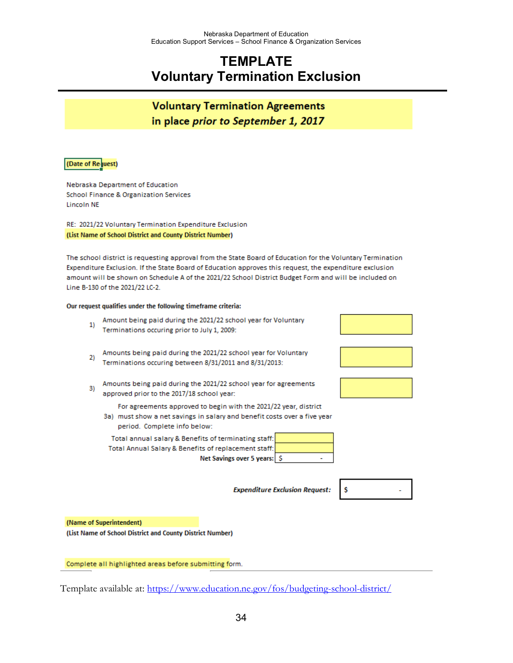### **TEMPLATE Voluntary Termination Exclusion**

### **Voluntary Termination Agreements** in place prior to September 1, 2017

#### (Date of Request)

Nebraska Department of Education School Finance & Organization Services **Lincoln NE** 

RE: 2021/22 Voluntary Termination Expenditure Exclusion (List Name of School District and County District Number)

The school district is requesting approval from the State Board of Education for the Voluntary Termination Expenditure Exclusion. If the State Board of Education approves this request, the expenditure exclusion amount will be shown on Schedule A of the 2021/22 School District Budget Form and will be included on Line B-130 of the 2021/22 LC-2.

#### Our request qualifies under the following timeframe criteria:

- Amount being paid during the 2021/22 school year for Voluntary  $1)$ Terminations occuring prior to July 1, 2009:
- Amounts being paid during the 2021/22 school year for Voluntary  $2)$ Terminations occuring between 8/31/2011 and 8/31/2013:
- Amounts being paid during the 2021/22 school year for agreements 3) approved prior to the 2017/18 school year:

For agreements approved to begin with the 2021/22 year, district

3a) must show a net savings in salary and benefit costs over a five year period. Complete info below:

Total annual salary & Benefits of terminating staff: Total Annual Salary & Benefits of replacement staff: Net Savings over 5 years: \$

**Expenditure Exclusion Request:** 



Ŝ

(Name of Superintendent)

(List Name of School District and County District Number)

Complete all highlighted areas before submitting form.

Template available at:<https://www.education.ne.gov/fos/budgeting-school-district/>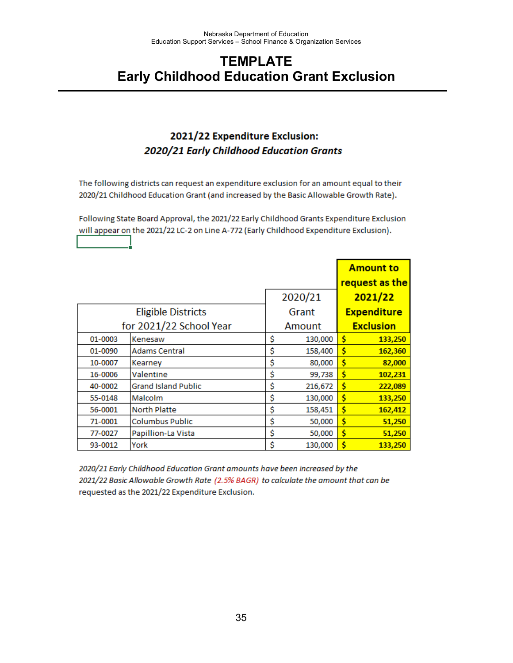### **TEMPLATE Early Childhood Education Grant Exclusion**

### 2021/22 Expenditure Exclusion: 2020/21 Early Childhood Education Grants

The following districts can request an expenditure exclusion for an amount equal to their 2020/21 Childhood Education Grant (and increased by the Basic Allowable Growth Rate).

Following State Board Approval, the 2021/22 Early Childhood Grants Expenditure Exclusion will appear on the 2021/22 LC-2 on Line A-772 (Early Childhood Expenditure Exclusion).

|         |                            |               |    | <b>Amount to</b><br>request as the |
|---------|----------------------------|---------------|----|------------------------------------|
|         |                            | 2020/21       |    | 2021/22                            |
|         | <b>Eligible Districts</b>  | Grant         |    | <b>Expenditure</b>                 |
|         | for 2021/22 School Year    | Amount        |    | <b>Exclusion</b>                   |
| 01-0003 | Kenesaw                    | \$<br>130,000 | Ś  | 133,250                            |
| 01-0090 | <b>Adams Central</b>       | \$<br>158,400 | \$ | 162,360                            |
| 10-0007 | Kearney                    | \$<br>80,000  | Ś  | 82,000                             |
| 16-0006 | Valentine                  | \$<br>99,738  | \$ | 102,231                            |
| 40-0002 | <b>Grand Island Public</b> | \$<br>216,672 | Ś  | 222,089                            |
| 55-0148 | Malcolm                    | \$<br>130,000 | \$ | 133,250                            |
| 56-0001 | <b>North Platte</b>        | \$<br>158,451 | Ś  | 162,412                            |
| 71-0001 | <b>Columbus Public</b>     | \$<br>50,000  | \$ | 51,250                             |
| 77-0027 | Papillion-La Vista         | \$<br>50,000  | Ś  | 51,250                             |
| 93-0012 | York                       | \$<br>130,000 | Ś  | 133,250                            |

2020/21 Early Childhood Education Grant amounts have been increased by the 2021/22 Basic Allowable Growth Rate (2.5% BAGR) to calculate the amount that can be requested as the 2021/22 Expenditure Exclusion.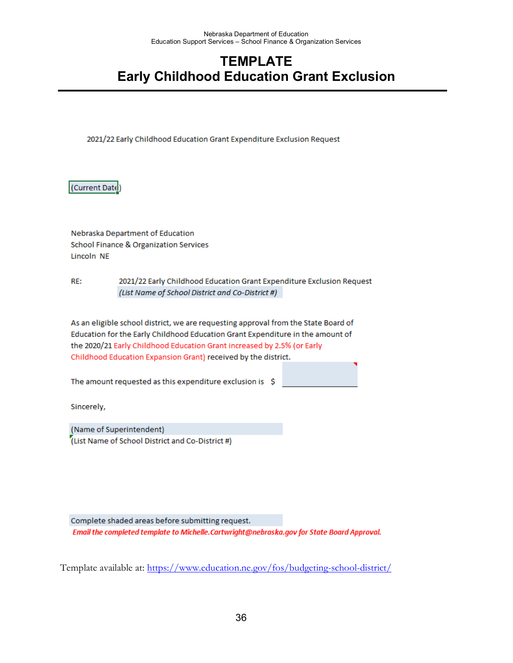## **TEMPLATE Early Childhood Education Grant Exclusion**

2021/22 Early Childhood Education Grant Expenditure Exclusion Request

(Current Date)

Nebraska Department of Education School Finance & Organization Services Lincoln NE

RE: 2021/22 Early Childhood Education Grant Expenditure Exclusion Request (List Name of School District and Co-District #)

As an eligible school district, we are requesting approval from the State Board of Education for the Early Childhood Education Grant Expenditure in the amount of the 2020/21 Early Childhood Education Grant increased by 2.5% (or Early Childhood Education Expansion Grant) received by the district.

The amount requested as this expenditure exclusion is  $$$ 

Sincerely,

(Name of Superintendent) (List Name of School District and Co-District #)

Complete shaded areas before submitting request. Email the completed template to Michelle.Cartwright@nebraska.gov for State Board Approval.

Template available at:<https://www.education.ne.gov/fos/budgeting-school-district/>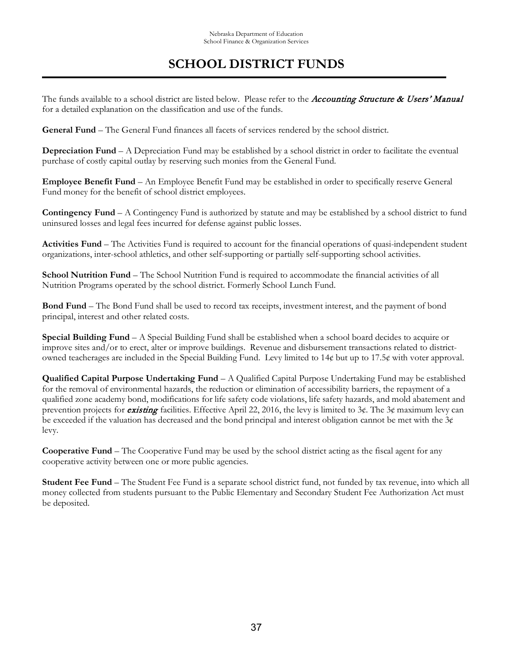## **SCHOOL DISTRICT FUNDS**

The funds available to a school district are listed below. Please refer to the Accounting Structure & Users' Manual for a detailed explanation on the classification and use of the funds.

**General Fund** – The General Fund finances all facets of services rendered by the school district.

**Depreciation Fund** – A Depreciation Fund may be established by a school district in order to facilitate the eventual purchase of costly capital outlay by reserving such monies from the General Fund.

**Employee Benefit Fund** – An Employee Benefit Fund may be established in order to specifically reserve General Fund money for the benefit of school district employees.

**Contingency Fund** – A Contingency Fund is authorized by statute and may be established by a school district to fund uninsured losses and legal fees incurred for defense against public losses.

**Activities Fund** – The Activities Fund is required to account for the financial operations of quasi-independent student organizations, inter-school athletics, and other self-supporting or partially self-supporting school activities.

**School Nutrition Fund** – The School Nutrition Fund is required to accommodate the financial activities of all Nutrition Programs operated by the school district. Formerly School Lunch Fund.

**Bond Fund** – The Bond Fund shall be used to record tax receipts, investment interest, and the payment of bond principal, interest and other related costs.

**Special Building Fund** – A Special Building Fund shall be established when a school board decides to acquire or improve sites and/or to erect, alter or improve buildings. Revenue and disbursement transactions related to districtowned teacherages are included in the Special Building Fund. Levy limited to 14¢ but up to 17.5¢ with voter approval.

**Qualified Capital Purpose Undertaking Fund** – A Qualified Capital Purpose Undertaking Fund may be established for the removal of environmental hazards, the reduction or elimination of accessibility barriers, the repayment of a qualified zone academy bond, modifications for life safety code violations, life safety hazards, and mold abatement and prevention projects for *existing* facilities. Effective April 22, 2016, the levy is limited to 3¢. The 3¢ maximum levy can be exceeded if the valuation has decreased and the bond principal and interest obligation cannot be met with the  $3¢$ levy.

**Cooperative Fund** – The Cooperative Fund may be used by the school district acting as the fiscal agent for any cooperative activity between one or more public agencies.

**Student Fee Fund** – The Student Fee Fund is a separate school district fund, not funded by tax revenue, into which all money collected from students pursuant to the Public Elementary and Secondary Student Fee Authorization Act must be deposited.